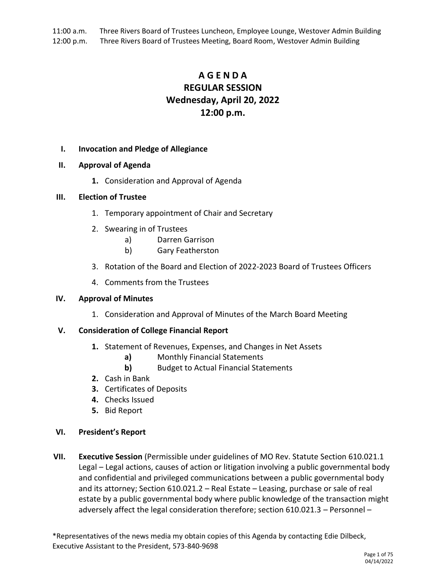11:00 a.m. Three Rivers Board of Trustees Luncheon, Employee Lounge, Westover Admin Building 12:00 p.m. Three Rivers Board of Trustees Meeting, Board Room, Westover Admin Building

# **A G E N D A REGULAR SESSION Wednesday, April 20, 2022 12:00 p.m.**

## **I. Invocation and Pledge of Allegiance**

## **II. Approval of Agenda**

**1.** Consideration and Approval of Agenda

## **III. Election of Trustee**

- 1. Temporary appointment of Chair and Secretary
- 2. Swearing in of Trustees
	- a) Darren Garrison
	- b) Gary Featherston
- 3. Rotation of the Board and Election of 2022-2023 Board of Trustees Officers
- 4. Comments from the Trustees

## **IV. Approval of Minutes**

1. Consideration and Approval of Minutes of the March Board Meeting

## **V. Consideration of College Financial Report**

- **1.** Statement of Revenues, Expenses, and Changes in Net Assets
	- **a)** Monthly Financial Statements
	- **b)** Budget to Actual Financial Statements
- **2.** Cash in Bank
- **3.** Certificates of Deposits
- **4.** Checks Issued
- **5.** Bid Report

## **VI. President's Report**

**VII. Executive Session** (Permissible under guidelines of MO Rev. Statute Section 610.021.1 Legal – Legal actions, causes of action or litigation involving a public governmental body and confidential and privileged communications between a public governmental body and its attorney; Section 610.021.2 – Real Estate – Leasing, purchase or sale of real estate by a public governmental body where public knowledge of the transaction might adversely affect the legal consideration therefore; section 610.021.3 – Personnel –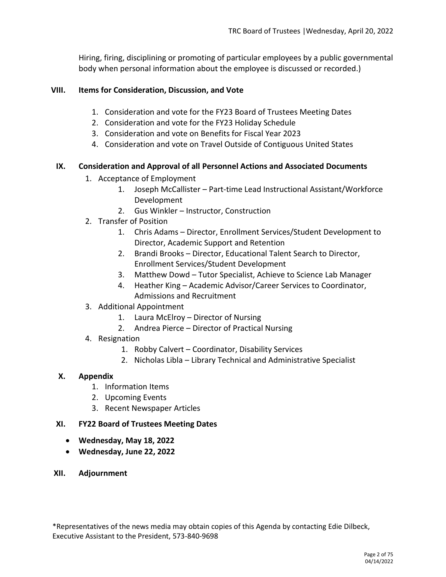Hiring, firing, disciplining or promoting of particular employees by a public governmental body when personal information about the employee is discussed or recorded.)

## **VIII. Items for Consideration, Discussion, and Vote**

- 1. Consideration and vote for the FY23 Board of Trustees Meeting Dates
- 2. Consideration and vote for the FY23 Holiday Schedule
- 3. Consideration and vote on Benefits for Fiscal Year 2023
- 4. Consideration and vote on Travel Outside of Contiguous United States

# **IX. Consideration and Approval of all Personnel Actions and Associated Documents**

- 1. Acceptance of Employment
	- 1. Joseph McCallister Part-time Lead Instructional Assistant/Workforce Development
	- 2. Gus Winkler Instructor, Construction
- 2. Transfer of Position
	- 1. Chris Adams Director, Enrollment Services/Student Development to Director, Academic Support and Retention
	- 2. Brandi Brooks Director, Educational Talent Search to Director, Enrollment Services/Student Development
	- 3. Matthew Dowd Tutor Specialist, Achieve to Science Lab Manager
	- 4. Heather King Academic Advisor/Career Services to Coordinator, Admissions and Recruitment
- 3. Additional Appointment
	- 1. Laura McElroy Director of Nursing
	- 2. Andrea Pierce Director of Practical Nursing
- 4. Resignation
	- 1. Robby Calvert Coordinator, Disability Services
	- 2. Nicholas Libla Library Technical and Administrative Specialist

# **X. Appendix**

- 1. Information Items
- 2. Upcoming Events
- 3. Recent Newspaper Articles
- **XI. FY22 Board of Trustees Meeting Dates**
	- **Wednesday, May 18, 2022**
	- **Wednesday, June 22, 2022**
- **XII. Adjournment**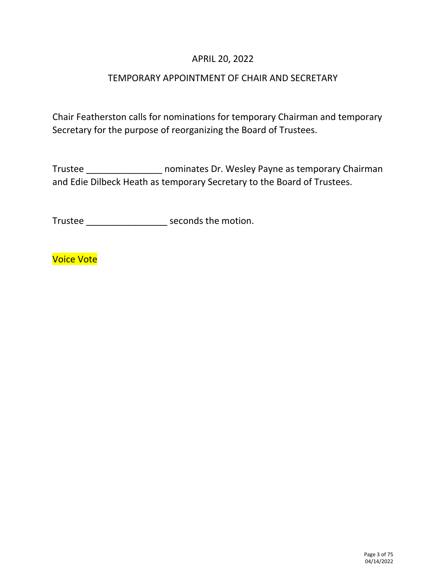# APRIL 20, 2022

# TEMPORARY APPOINTMENT OF CHAIR AND SECRETARY

Chair Featherston calls for nominations for temporary Chairman and temporary Secretary for the purpose of reorganizing the Board of Trustees.

Trustee \_\_\_\_\_\_\_\_\_\_\_\_\_\_\_ nominates Dr. Wesley Payne as temporary Chairman and Edie Dilbeck Heath as temporary Secretary to the Board of Trustees.

Trustee \_\_\_\_\_\_\_\_\_\_\_\_\_\_\_\_ seconds the motion.

Voice Vote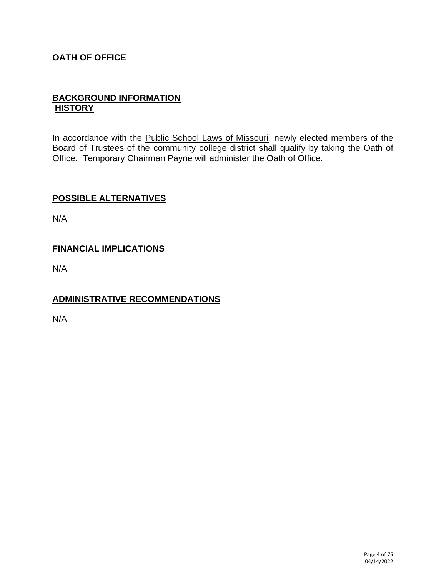# **OATH OF OFFICE**

# **BACKGROUND INFORMATION HISTORY**

In accordance with the Public School Laws of Missouri, newly elected members of the Board of Trustees of the community college district shall qualify by taking the Oath of Office. Temporary Chairman Payne will administer the Oath of Office.

# **POSSIBLE ALTERNATIVES**

N/A

# **FINANCIAL IMPLICATIONS**

N/A

# **ADMINISTRATIVE RECOMMENDATIONS**

N/A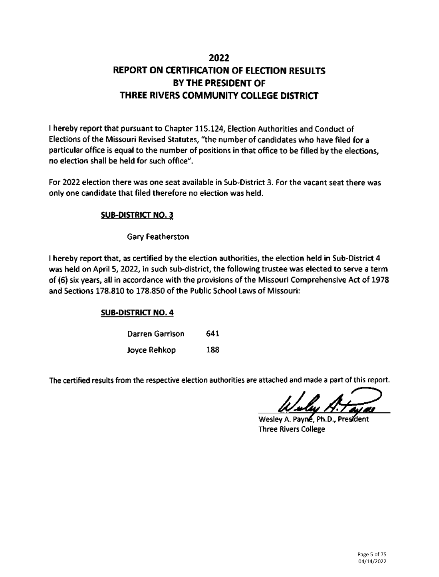# 2022 REPORT ON CERTIFICATION OF ELECTION RESULTS BY THE PRESIDENT OF THREE RIVERS COMMUNITY COLLEGE DISTRICT

I hereby report that pursuant to Chapter 115.124, Election Authorities and Conduct of Elections of the Missouri Revised Statutes, "the number of candidates who have filed for a particular office is equal to the number of positions in that office to be filled by the elections, no election shall be held for such office".

For 2022 election there was one seat available in Sub-District 3. For the vacant seat there was only one candidate that filed therefore no election was held.

# **SUB-DISTRICT NO. 3**

# Gary Featherston

I hereby report that, as certified by the election authorities, the election held in Sub-District 4 was held on April 5, 2022, in such sub-district, the following trustee was elected to serve a term of (6) six years, all in accordance with the provisions of the Missouri Comprehensive Act of 1978 and Sections 178.810 to 178.850 of the Public School Laws of Missouri:

# **SUB-DISTRICT NO. 4**

| Darren Garrison | 641 |
|-----------------|-----|
| Joyce Rehkop    | 188 |

The certified results from the respective election authorities are attached and made a part of this report.

Wesley A. Payne, Ph.D., President **Three Rivers College**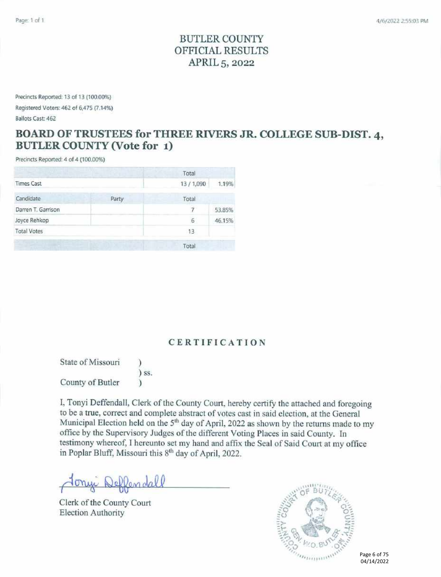# **BUTLER COUNTY** OFFICIAL RESULTS APRIL 5, 2022

Precincts Reported: 13 of 13 (100.00%) Registered Voters: 462 of 6,475 (7.14%) Ballots Cast: 462

# BOARD OF TRUSTEES for THREE RIVERS JR. COLLEGE SUB-DIST. 4, **BUTLER COUNTY (Vote for 1)**

Precincts Reported: 4 of 4 (100,00%)

|                    |       | Total          |        |
|--------------------|-------|----------------|--------|
| <b>Times Cast</b>  |       | 13/1,090       | 1.19%  |
| Candidate          | Party | Total          |        |
| Darren T. Garrison |       | $\overline{7}$ | 53.85% |
| Joyce Rehkop       |       | 6              | 46.15% |
| <b>Total Votes</b> |       | 13             |        |
|                    |       | Total          |        |

# **CERTIFICATION**

State of Missouri  $)$  SS. County of Butler  $\lambda$ 

I, Tonyi Deffendall, Clerk of the County Court, hereby certify the attached and foregoing to be a true, correct and complete abstract of votes cast in said election, at the General Municipal Election held on the 5<sup>th</sup> day of April, 2022 as shown by the returns made to my office by the Supervisory Judges of the different Voting Places in said County. In testimony whereof, I hereunto set my hand and affix the Seal of Said Court at my office in Poplar Bluff, Missouri this 8<sup>th</sup> day of April, 2022.

Deffendall

Clerk of the County Court **Election Authority** 



Page 6 of 75 04/14/2022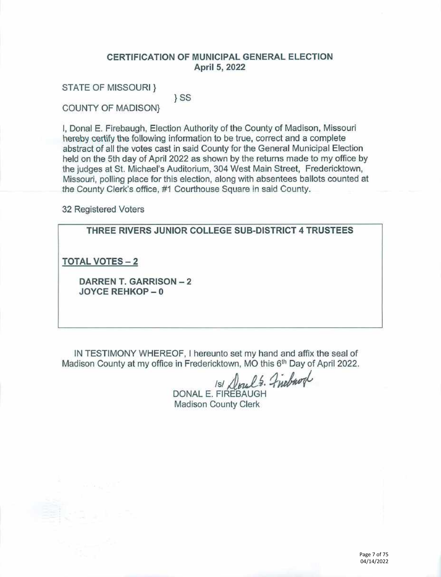## CERTIFICATION OF MUNICIPAL GENERAL ELECTION April 5, 2022

**STATE OF MISSOURI }** 

 $\}$  SS

**COUNTY OF MADISON}** 

I. Donal E. Firebaugh, Election Authority of the County of Madison, Missouri hereby certify the following information to be true, correct and a complete abstract of all the votes cast in said County for the General Municipal Election held on the 5th day of April 2022 as shown by the returns made to my office by the judges at St. Michael's Auditorium, 304 West Main Street, Fredericktown, Missouri, polling place for this election, along with absentees ballots counted at the County Clerk's office, #1 Courthouse Square in said County.

32 Registered Voters

THREE RIVERS JUNIOR COLLEGE SUB-DISTRICT 4 TRUSTEES

**TOTAL VOTES - 2** 

DARREN T. GARRISON - 2 JOYCE REHKOP-0

IN TESTIMONY WHEREOF, I hereunto set my hand and affix the seal of Madison County at my office in Fredericktown, MO this 6th Day of April 2022.

151 Doul's. Finebaogl

DONAL E. FIREBAUGH **Madison County Clerk**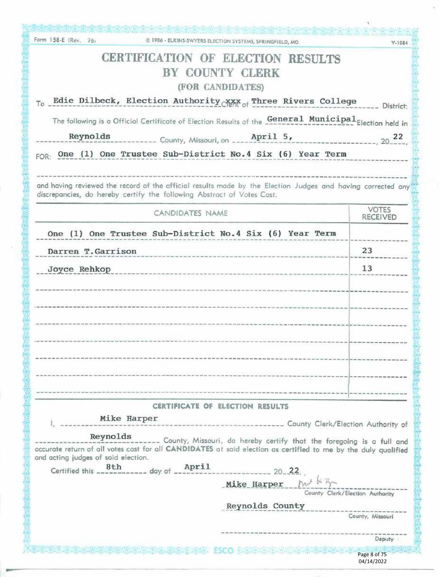| Form 158-E (Rev. 76)<br>@ 1986 - ELKINS-SWYERS ELECTION SYSTEMS, SPRINGFIELD, MO.                                                                                                                                             | $Y-1084$                        |
|-------------------------------------------------------------------------------------------------------------------------------------------------------------------------------------------------------------------------------|---------------------------------|
| CERTIFICATION OF ELECTION RESULTS<br>BY COUNTY CLERK<br>(FOR CANDIDATES)                                                                                                                                                      |                                 |
| To Edie Dilbeck, Election Authority XXX of Three Rivers College                                                                                                                                                               | ____ District:                  |
| The following is a Official Certificate of Election Results of the General Municipal Election held in                                                                                                                         |                                 |
|                                                                                                                                                                                                                               |                                 |
| Reynolds<br>April 5,<br>County, Missouri, on ___.                                                                                                                                                                             | --------------- 20 22           |
| One (1) One Trustee Sub-District No.4 Six (6) Year Term<br>FOR:                                                                                                                                                               |                                 |
| and having reviewed the record of the official results made by the Election Judges and having corrected any<br>discrepancies, do hereby certify the following Abstract of Votes Cast.                                         |                                 |
| CANDIDATES NAME                                                                                                                                                                                                               | <b>VOTES</b><br><b>RECEIVED</b> |
| One (1) One Trustee Sub-District No.4 Six (6) Year Term                                                                                                                                                                       |                                 |
| Darren T. Garrison                                                                                                                                                                                                            | 23                              |
| Joyce Rehkop                                                                                                                                                                                                                  | 13                              |
|                                                                                                                                                                                                                               |                                 |
|                                                                                                                                                                                                                               |                                 |
|                                                                                                                                                                                                                               |                                 |
|                                                                                                                                                                                                                               |                                 |
|                                                                                                                                                                                                                               |                                 |
|                                                                                                                                                                                                                               |                                 |
|                                                                                                                                                                                                                               |                                 |
|                                                                                                                                                                                                                               |                                 |
| CERTIFICATE OF ELECTION RESULTS                                                                                                                                                                                               |                                 |
| Mike Harper<br>-------------------------- County Clerk/Election Authority of                                                                                                                                                  |                                 |
| Reynolds                                                                                                                                                                                                                      |                                 |
| County, Missouri, do hereby certify that the foregoing is a full and<br>accurate return of all votes cast for all CANDIDATES at said election as certified to me by the duly qualified<br>and acting judges of said election. |                                 |
|                                                                                                                                                                                                                               |                                 |
| Mike Harper $h^{\mu}$ of $\overline{b}$                                                                                                                                                                                       | County Clerk/Election Authority |
| Reynolds County                                                                                                                                                                                                               |                                 |
|                                                                                                                                                                                                                               | County, Missouri                |
|                                                                                                                                                                                                                               | Deputy                          |
| Resourcement and the ESCO memoriance                                                                                                                                                                                          | Page 8 of 75                    |
|                                                                                                                                                                                                                               | 04/14/2022                      |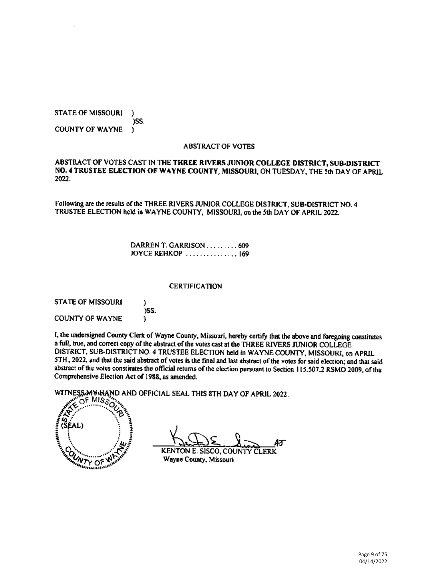**STATE OF MISSOURI**  $\mathbf{)}$ ISS. **COUNTY OF WAYNE** r

#### **ABSTRACT OF VOTES**

#### ABSTRACT OF VOTES CAST IN THE THREE RIVERS JUNIOR COLLEGE DISTRICT, SUB-DISTRICT NO. 4 TRUSTEE ELECTION OF WAYNE COUNTY, MISSOURI, ON TUESDAY, THE 5th DAY OF APRIL 2022.

Following are the results of the THREE RIVERS JUNIOR COLLEGE DISTRICT, SUB-DISTRICT NO. 4 TRUSTEE ELECTION held in WAYNE COUNTY, MISSOURI, on the 5th DAY OF APRIL 2022.

> DARREN T. GARRISON ........ 609 **JOYCE REHKOP** .............. 169

#### **CERTIFICATION**

| <b>STATE OF MISSOURI</b> |      |
|--------------------------|------|
| <b>COUNTY OF WAYNE</b>   | )SS. |

I, the undersigned County Clerk of Wayne County, Missouri, hereby certify that the above and foregoing constitutes a full, true, and correct copy of the abstract of the votes cast at the THREE RIVERS JUNIOR COLLEGE DISTRICT, SUB-DISTRICT NO. 4 TRUSTEE ELECTION held in WAYNE COUNTY, MISSOURI, on APRIL 5TH, 2022, and that the said abstract of votes is the final and last abstract of the votes for said election; and that said abstract of the votes constitutes the official returns of the election pursuant to Section 115.507.2 RSMO 2009, of the Comprehensive Election Act of 1988, as amended.

WITNESS MAILAND AND OFFICIAL SEAL THIS 8TH DAY OF APRIL 2022.

 $\mathrm{C}$ FMIS $\mathrm{s}$ **CUNTY OF** with Links

7 **KENTON E. SISCO, COUNT** CLERK

Wayne County, Missouri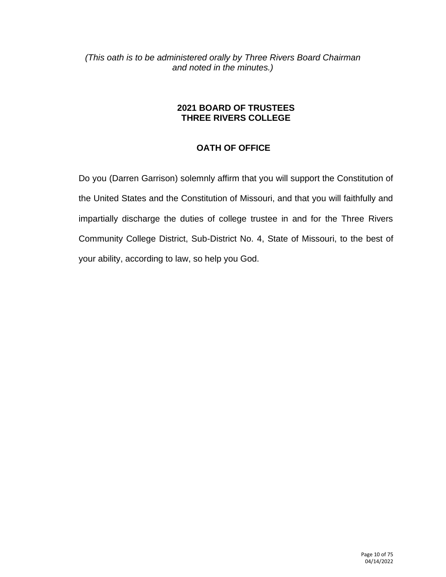*(This oath is to be administered orally by Three Rivers Board Chairman and noted in the minutes.)*

# **2021 BOARD OF TRUSTEES THREE RIVERS COLLEGE**

# **OATH OF OFFICE**

Do you (Darren Garrison) solemnly affirm that you will support the Constitution of the United States and the Constitution of Missouri, and that you will faithfully and impartially discharge the duties of college trustee in and for the Three Rivers Community College District, Sub-District No. 4, State of Missouri, to the best of your ability, according to law, so help you God.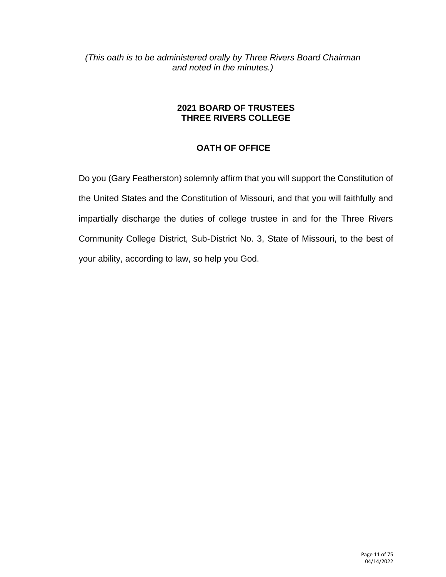*(This oath is to be administered orally by Three Rivers Board Chairman and noted in the minutes.)*

# **2021 BOARD OF TRUSTEES THREE RIVERS COLLEGE**

# **OATH OF OFFICE**

Do you (Gary Featherston) solemnly affirm that you will support the Constitution of the United States and the Constitution of Missouri, and that you will faithfully and impartially discharge the duties of college trustee in and for the Three Rivers Community College District, Sub-District No. 3, State of Missouri, to the best of your ability, according to law, so help you God.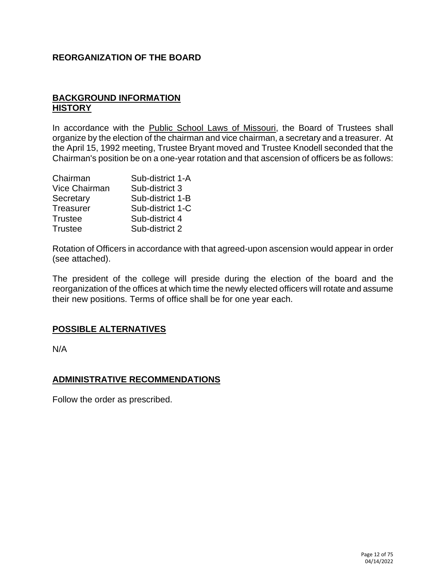# **REORGANIZATION OF THE BOARD**

# **BACKGROUND INFORMATION HISTORY**

In accordance with the Public School Laws of Missouri, the Board of Trustees shall organize by the election of the chairman and vice chairman, a secretary and a treasurer. At the April 15, 1992 meeting, Trustee Bryant moved and Trustee Knodell seconded that the Chairman's position be on a one-year rotation and that ascension of officers be as follows:

| Chairman             | Sub-district 1-A |
|----------------------|------------------|
| <b>Vice Chairman</b> | Sub-district 3   |
| Secretary            | Sub-district 1-B |
| Treasurer            | Sub-district 1-C |
| <b>Trustee</b>       | Sub-district 4   |
| <b>Trustee</b>       | Sub-district 2   |

Rotation of Officers in accordance with that agreed-upon ascension would appear in order (see attached).

The president of the college will preside during the election of the board and the reorganization of the offices at which time the newly elected officers will rotate and assume their new positions. Terms of office shall be for one year each.

# **POSSIBLE ALTERNATIVES**

N/A

# **ADMINISTRATIVE RECOMMENDATIONS**

Follow the order as prescribed.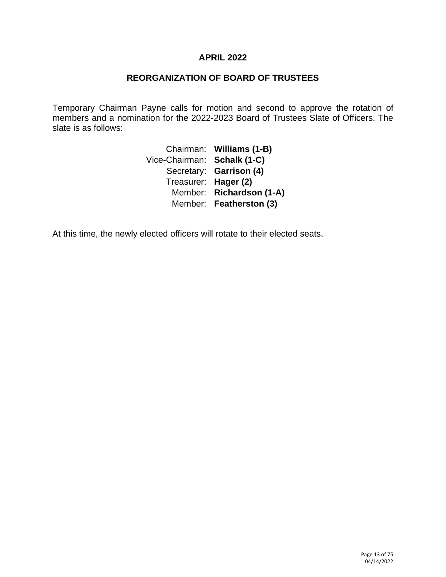## **APRIL 2022**

# **REORGANIZATION OF BOARD OF TRUSTEES**

Temporary Chairman Payne calls for motion and second to approve the rotation of members and a nomination for the 2022-2023 Board of Trustees Slate of Officers. The slate is as follows:

> Chairman: **Williams (1-B)** Vice-Chairman: **Schalk (1-C)** Secretary: **Garrison (4)** Treasurer: **Hager (2)** Member: **Richardson (1-A)** Member: **Featherston (3)**

At this time, the newly elected officers will rotate to their elected seats.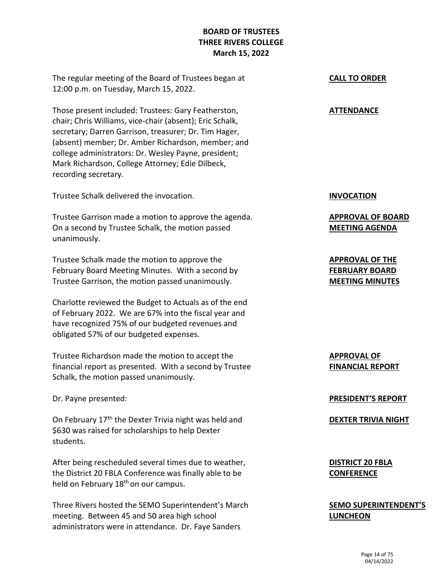# **BOARD OF TRUSTEES THREE RIVERS COLLEGE March 15, 2022**

The regular meeting of the Board of Trustees began at 12:00 p.m. on Tuesday, March 15, 2022.

Those present included: Trustees: Gary Featherston, chair; Chris Williams, vice-chair (absent); Eric Schalk, secretary; Darren Garrison, treasurer; Dr. Tim Hager, (absent) member; Dr. Amber Richardson, member; and college administrators: Dr. Wesley Payne, president; Mark Richardson, College Attorney; Edie Dilbeck, recording secretary.

Trustee Schalk delivered the invocation.

Trustee Garrison made a motion to approve the agenda. On a second by Trustee Schalk, the motion passed unanimously.

Trustee Schalk made the motion to approve the February Board Meeting Minutes. With a second by Trustee Garrison, the motion passed unanimously.

Charlotte reviewed the Budget to Actuals as of the end of February 2022. We are 67% into the fiscal year and have recognized 75% of our budgeted revenues and obligated 57% of our budgeted expenses.

Trustee Richardson made the motion to accept the financial report as presented. With a second by Trustee Schalk, the motion passed unanimously.

Dr. Payne presented:

On February 17<sup>th</sup> the Dexter Trivia night was held and \$630 was raised for scholarships to help Dexter students.

After being rescheduled several times due to weather, the District 20 FBLA Conference was finally able to be held on February 18<sup>th</sup> on our campus.

Three Rivers hosted the SEMO Superintendent's March meeting. Between 45 and 50 area high school administrators were in attendance. Dr. Faye Sanders

## **CALL TO ORDER**

### **ATTENDANCE**

**INVOCATION**

**APPROVAL OF BOARD MEETING AGENDA**

**APPROVAL OF THE FEBRUARY BOARD MEETING MINUTES**

**APPROVAL OF FINANCIAL REPORT**

**PRESIDENT'S REPORT**

**DEXTER TRIVIA NIGHT**

**DISTRICT 20 FBLA CONFERENCE**

**SEMO SUPERINTENDENT'S LUNCHEON**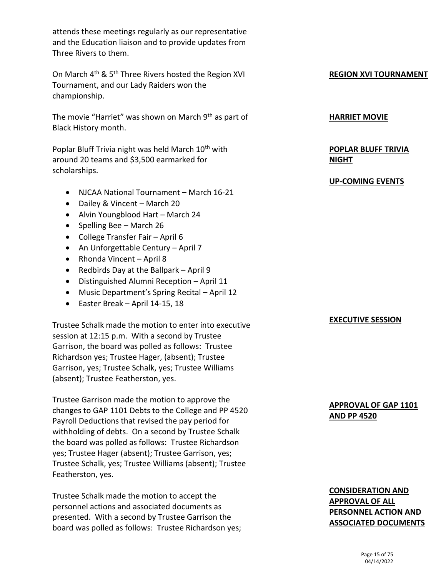attends these meetings regularly as our representative and the Education liaison and to provide updates from Three Rivers to them.

On March 4th & 5th Three Rivers hosted the Region XVI Tournament, and our Lady Raiders won the championship.

The movie "Harriet" was shown on March 9<sup>th</sup> as part of Black History month.

Poplar Bluff Trivia night was held March 10<sup>th</sup> with around 20 teams and \$3,500 earmarked for scholarships.

- NJCAA National Tournament March 16-21
- Dailey & Vincent March 20
- Alvin Youngblood Hart March 24
- Spelling Bee March 26
- College Transfer Fair April 6
- An Unforgettable Century April 7
- Rhonda Vincent April 8
- Redbirds Day at the Ballpark April 9
- Distinguished Alumni Reception April 11
- Music Department's Spring Recital April 12
- Easter Break April 14-15, 18

Trustee Schalk made the motion to enter into executive session at 12:15 p.m. With a second by Trustee Garrison, the board was polled as follows: Trustee Richardson yes; Trustee Hager, (absent); Trustee Garrison, yes; Trustee Schalk, yes; Trustee Williams (absent); Trustee Featherston, yes.

Trustee Garrison made the motion to approve the changes to GAP 1101 Debts to the College and PP 4520 Payroll Deductions that revised the pay period for withholding of debts. On a second by Trustee Schalk the board was polled as follows: Trustee Richardson yes; Trustee Hager (absent); Trustee Garrison, yes; Trustee Schalk, yes; Trustee Williams (absent); Trustee Featherston, yes.

Trustee Schalk made the motion to accept the personnel actions and associated documents as presented. With a second by Trustee Garrison the board was polled as follows: Trustee Richardson yes;

## **REGION XVI TOURNAMENT**

#### **HARRIET MOVIE**

# **POPLAR BLUFF TRIVIA NIGHT**

#### **UP-COMING EVENTS**

#### **EXECUTIVE SESSION**

## **APPROVAL OF GAP 1101 AND PP 4520**

# **CONSIDERATION AND APPROVAL OF ALL PERSONNEL ACTION AND ASSOCIATED DOCUMENTS**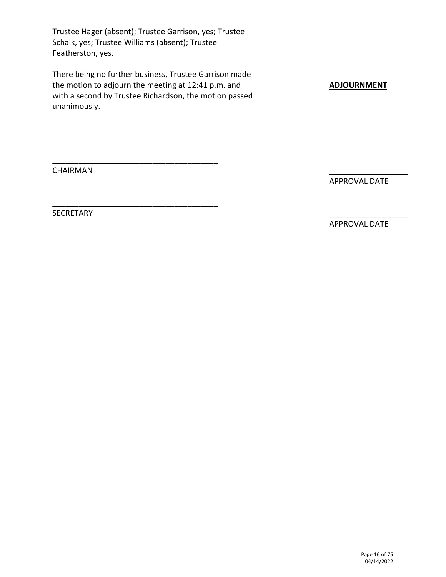Trustee Hager (absent); Trustee Garrison, yes; Trustee Schalk, yes; Trustee Williams (absent); Trustee Featherston, yes.

There being no further business, Trustee Garrison made the motion to adjourn the meeting at 12:41 p.m. and with a second by Trustee Richardson, the motion passed unanimously.

\_\_\_\_\_\_\_\_\_\_\_\_\_\_\_\_\_\_\_\_\_\_\_\_\_\_\_\_\_\_\_\_\_\_\_\_\_\_

\_\_\_\_\_\_\_\_\_\_\_\_\_\_\_\_\_\_\_\_\_\_\_\_\_\_\_\_\_\_\_\_\_\_\_\_\_\_

**ADJOURNMENT**

CHAIRMAN

APPROVAL DATE

 $\mathcal{L}_\text{max}$  , where  $\mathcal{L}_\text{max}$ 

\_\_\_\_\_\_\_\_\_\_\_\_\_\_\_\_\_\_

SECRETARY

APPROVAL DATE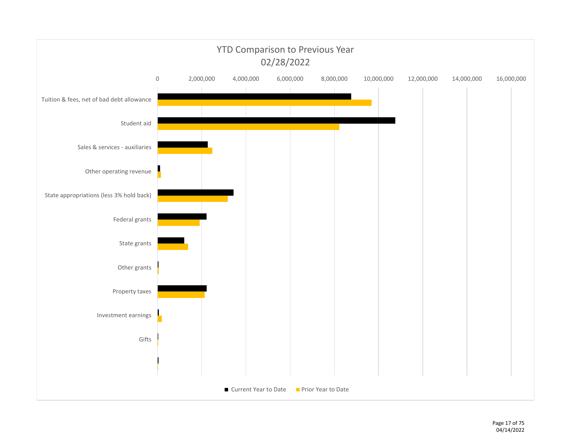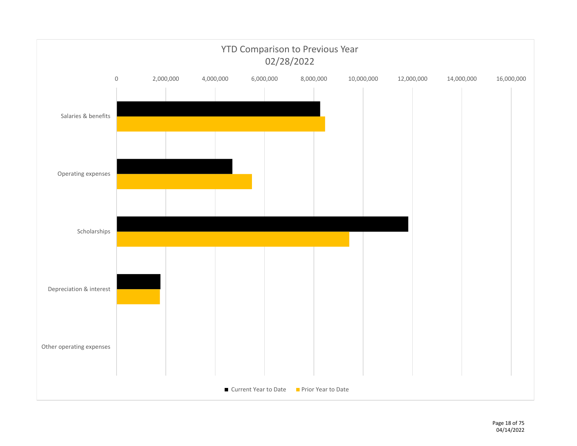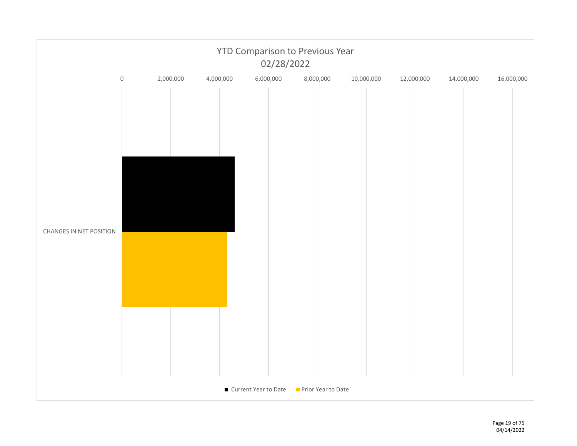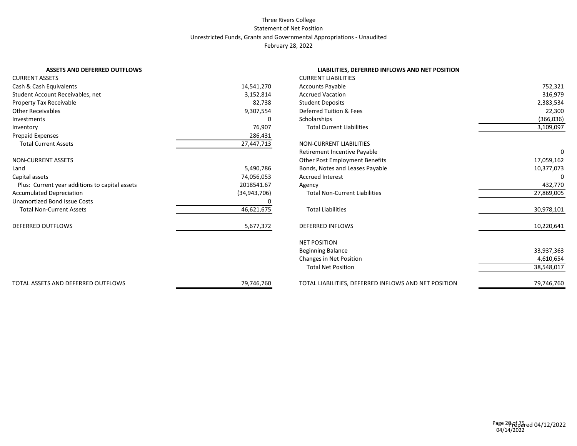#### Three Rivers College Statement of Net Position Unrestricted Funds, Grants and Governmental Appropriations - Unaudited February 28, 2022

| <b>ASSETS AND DEFERRED OUTFLOWS</b>            |                | LIABILITIES, DEFERRED INFLOWS AND NET POSITION       |            |
|------------------------------------------------|----------------|------------------------------------------------------|------------|
| <b>CURRENT ASSETS</b>                          |                | <b>CURRENT LIABILITIES</b>                           |            |
| Cash & Cash Equivalents                        | 14,541,270     | <b>Accounts Payable</b>                              | 752,321    |
| Student Account Receivables, net               | 3,152,814      | <b>Accrued Vacation</b>                              | 316,979    |
| Property Tax Receivable                        | 82,738         | <b>Student Deposits</b>                              | 2,383,534  |
| <b>Other Receivables</b>                       | 9,307,554      | Deferred Tuition & Fees                              | 22,300     |
| Investments                                    | 0              | Scholarships                                         | (366, 036) |
| Inventory                                      | 76,907         | <b>Total Current Liabilities</b>                     | 3,109,097  |
| Prepaid Expenses                               | 286,431        |                                                      |            |
| <b>Total Current Assets</b>                    | 27,447,713     | NON-CURRENT LIABILITIES                              |            |
|                                                |                | Retirement Incentive Payable                         |            |
| <b>NON-CURRENT ASSETS</b>                      |                | Other Post Employment Benefits                       | 17,059,162 |
| Land                                           | 5,490,786      | Bonds, Notes and Leases Payable                      | 10,377,073 |
| Capital assets                                 | 74,056,053     | <b>Accrued Interest</b>                              |            |
| Plus: Current year additions to capital assets | 2018541.67     | Agency                                               | 432,770    |
| <b>Accumulated Depreciation</b>                | (34, 943, 706) | <b>Total Non-Current Liabilities</b>                 | 27,869,005 |
| <b>Unamortized Bond Issue Costs</b>            |                |                                                      |            |
| <b>Total Non-Current Assets</b>                | 46,621,675     | <b>Total Liabilities</b>                             | 30,978,101 |
| <b>DEFERRED OUTFLOWS</b>                       | 5,677,372      | <b>DEFERRED INFLOWS</b>                              | 10,220,641 |
|                                                |                | <b>NET POSITION</b>                                  |            |
|                                                |                | <b>Beginning Balance</b>                             | 33,937,363 |
|                                                |                | Changes in Net Position                              | 4,610,654  |
|                                                |                | <b>Total Net Position</b>                            | 38,548,017 |
| TOTAL ASSETS AND DEFERRED OUTFLOWS             | 79,746,760     | TOTAL LIABILITIES, DEFERRED INFLOWS AND NET POSITION | 79,746,760 |
|                                                |                |                                                      |            |

#### **ASSETS AND DEFERRED INFLOWS AND NET POSITION**

| <b>CURRENT LIABILITIES</b>                           |            |
|------------------------------------------------------|------------|
| <b>Accounts Payable</b>                              | 752,321    |
| <b>Accrued Vacation</b>                              | 316,979    |
| <b>Student Deposits</b>                              | 2,383,534  |
| Deferred Tuition & Fees                              | 22,300     |
| Scholarships                                         | (366, 036) |
| <b>Total Current Liabilities</b>                     | 3,109,097  |
| <b>NON-CURRENT LIABILITIES</b>                       |            |
| Retirement Incentive Payable                         | $\Omega$   |
| <b>Other Post Employment Benefits</b>                | 17,059,162 |
| Bonds, Notes and Leases Payable                      | 10,377,073 |
| <b>Accrued Interest</b>                              | 0          |
| Agency                                               | 432,770    |
| <b>Total Non-Current Liabilities</b>                 | 27,869,005 |
| <b>Total Liabilities</b>                             | 30,978,101 |
| <b>DEFERRED INFLOWS</b>                              | 10,220,641 |
| <b>NET POSITION</b>                                  |            |
| <b>Beginning Balance</b>                             | 33,937,363 |
| Changes in Net Position                              | 4,610,654  |
| <b>Total Net Position</b>                            | 38,548,017 |
| TOTAL LIABILITIES, DEFERRED INFLOWS AND NET POSITION | 79,746,760 |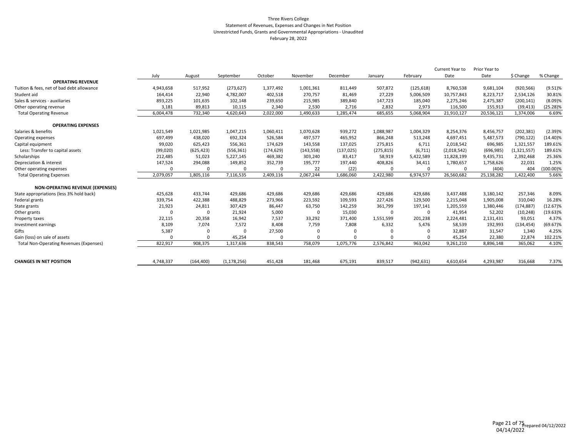#### Three Rivers College Statement of Revenues, Expenses and Changes in Net Position Unrestricted Funds, Grants and Governmental Appropriations - Unaudited February 28, 2022

|             |            |               |            |            |            |            |            | Current Year to | Prior Year to |               |             |
|-------------|------------|---------------|------------|------------|------------|------------|------------|-----------------|---------------|---------------|-------------|
| July        | August     | September     | October    | November   | December   | January    | February   | Date            | Date          | \$ Change     | % Change    |
|             |            |               |            |            |            |            |            |                 |               |               |             |
| 4,943,658   | 517,952    | (273, 627)    | 1,377,492  | 1,001,361  | 811,449    | 507,872    | (125, 618) | 8,760,538       | 9,681,104     | (920, 566)    | $(9.51)$ %  |
| 164,414     | 22,940     | 4,782,007     | 402,518    | 270,757    | 81,469     | 27,229     | 5,006,509  | 10,757,843      | 8,223,717     | 2,534,126     | 30.81%      |
| 893,225     | 101,635    | 102,148       | 239,650    | 215,985    | 389,840    | 147,723    | 185,040    | 2,275,246       | 2,475,387     | (200, 141)    | (8.09)%     |
| 3,181       | 89,813     | 10,115        | 2,340      | 2,530      | 2,716      | 2,832      | 2,973      | 116,500         | 155,913       | (39, 413)     | $(25.28)\%$ |
| 6,004,478   | 732,340    | 4,620,643     | 2,022,000  | 1,490,633  | 1,285,474  | 685,655    | 5,068,904  | 21,910,127      | 20,536,121    | 1,374,006     | 6.69%       |
|             |            |               |            |            |            |            |            |                 |               |               |             |
| 1,021,549   | 1,021,985  | 1,047,215     | 1,060,411  | 1,070,628  | 939,272    | 1,088,987  | 1,004,329  | 8,254,376       | 8,456,757     | (202, 381)    | (2.39)%     |
| 697,499     | 438,020    | 692,324       | 526,584    | 497,577    | 465,952    | 866,248    | 513,248    | 4,697,451       | 5,487,573     | (790, 122)    | $(14.40)\%$ |
| 99,020      | 625,423    | 556,361       | 174,629    | 143,558    | 137,025    | 275,815    | 6,711      | 2,018,542       | 696,985       | 1,321,557     | 189.61%     |
| (99,020)    | (625, 423) | (556, 361)    | (174, 629) | (143, 558) | (137, 025) | (275, 815) | (6, 711)   | (2,018,542)     | (696, 985)    | (1, 321, 557) | 189.61%     |
| 212,485     | 51,023     | 5,227,145     | 469,382    | 303,240    | 83,417     | 58,919     | 5,422,589  | 11,828,199      | 9,435,731     | 2,392,468     | 25.36%      |
| 147,524     | 294,088    | 149,852       | 352,739    | 195,777    | 197,440    | 408,826    | 34,411     | 1,780,657       | 1,758,626     | 22,031        | 1.25%       |
| $\mathbf 0$ | $\Omega$   | $\mathbf 0$   | $\Omega$   | 22         | (22)       | $\Omega$   | $\Omega$   | $\Omega$        | (404)         | 404           | (100.00)%   |
| 2,079,057   | 1,805,116  | 7,116,535     | 2,409,116  | 2,067,244  | 1,686,060  | 2,422,980  | 6,974,577  | 26,560,682      | 25,138,282    | 1,422,400     | 5.66%       |
|             |            |               |            |            |            |            |            |                 |               |               |             |
| 425,628     | 433,744    | 429,686       | 429,686    | 429,686    | 429,686    | 429,686    | 429,686    | 3,437,488       | 3,180,142     | 257,346       | 8.09%       |
| 339,754     | 422,388    | 488,829       | 273,966    | 223,592    | 109,593    | 227,426    | 129,500    | 2,215,048       | 1,905,008     | 310,040       | 16.28%      |
| 21,923      | 24,811     | 307,429       | 86,447     | 63,750     | 142,259    | 361,799    | 197,141    | 1,205,559       | 1,380,446     | (174, 887)    | $(12.67)\%$ |
| $\Omega$    | $\Omega$   | 21,924        | 5,000      | $\Omega$   | 15,030     | $\Omega$   | $\Omega$   | 41,954          | 52,202        | (10, 248)     | $(19.63)\%$ |
| 22,115      | 20,358     | 16,942        | 7,537      | 33,292     | 371,400    | 1,551,599  | 201,238    | 2,224,481       | 2,131,431     | 93,051        | 4.37%       |
| 8,109       | 7,074      | 7,572         | 8,408      | 7,759      | 7,808      | 6,332      | 5,476      | 58,539          | 192,993       | (134, 454)    | $(69.67)\%$ |
| 5,387       | $\Omega$   | $\Omega$      | 27,500     | $\Omega$   | 0          | $\Omega$   |            | 32,887          | 31,547        | 1,340         | 4.25%       |
| $\Omega$    | 0          | 45,254        | 0          | 0          | 0          | $\Omega$   |            | 45,254          | 22,380        | 22,874        | 102.21%     |
| 822,917     | 908,375    | 1,317,636     | 838,543    | 758,079    | 1,075,776  | 2,576,842  | 963,042    | 9,261,210       | 8,896,148     | 365,062       | 4.10%       |
| 4,748,337   | (164, 400) | (1, 178, 256) | 451,428    | 181,468    | 675,191    | 839,517    | (942, 631) | 4,610,654       | 4,293,987     | 316,668       | 7.37%       |
|             |            |               |            |            |            |            |            |                 |               |               |             |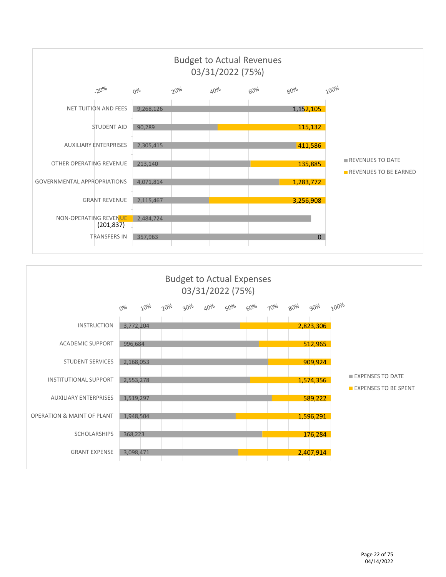

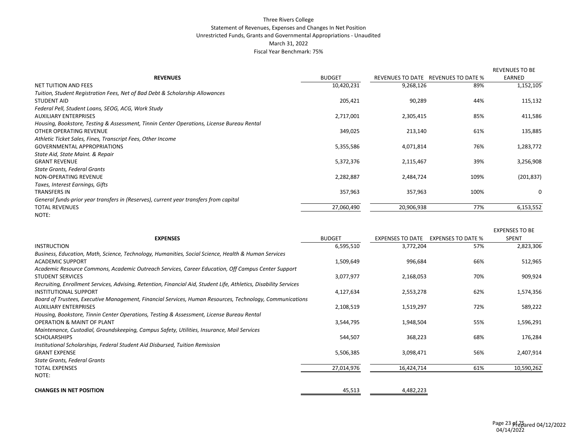#### Three Rivers College Statement of Revenues, Expenses and Changes In Net Position Unrestricted Funds, Grants and Governmental Appropriations - Unaudited March 31, 2022 Fiscal Year Benchmark: 75%

|                                                                                           |               |            |                                     | <b>REVENUES TO BE</b> |
|-------------------------------------------------------------------------------------------|---------------|------------|-------------------------------------|-----------------------|
| <b>REVENUES</b>                                                                           | <b>BUDGET</b> |            | REVENUES TO DATE REVENUES TO DATE % | EARNED                |
| NET TUITION AND FEES                                                                      | 10,420,231    | 9,268,126  | 89%                                 | 1,152,105             |
| Tuition, Student Registration Fees, Net of Bad Debt & Scholarship Allowances              |               |            |                                     |                       |
| <b>STUDENT AID</b>                                                                        | 205,421       | 90,289     | 44%                                 | 115,132               |
| Federal Pell, Student Loans, SEOG, ACG, Work Study                                        |               |            |                                     |                       |
| <b>AUXILIARY ENTERPRISES</b>                                                              | 2,717,001     | 2,305,415  | 85%                                 | 411,586               |
| Housing, Bookstore, Testing & Assessment, Tinnin Center Operations, License Bureau Rental |               |            |                                     |                       |
| OTHER OPERATING REVENUE                                                                   | 349,025       | 213,140    | 61%                                 | 135,885               |
| Athletic Ticket Sales, Fines, Transcript Fees, Other Income                               |               |            |                                     |                       |
| <b>GOVERNMENTAL APPROPRIATIONS</b>                                                        | 5,355,586     | 4,071,814  | 76%                                 | 1,283,772             |
| State Aid, State Maint. & Repair                                                          |               |            |                                     |                       |
| <b>GRANT REVENUE</b>                                                                      | 5,372,376     | 2,115,467  | 39%                                 | 3,256,908             |
| <b>State Grants, Federal Grants</b>                                                       |               |            |                                     |                       |
| NON-OPERATING REVENUE                                                                     | 2,282,887     | 2,484,724  | 109%                                | (201, 837)            |
| Taxes, Interest Earnings, Gifts                                                           |               |            |                                     |                       |
| <b>TRANSFERS IN</b>                                                                       | 357,963       | 357,963    | 100%                                | 0                     |
| General funds-prior year transfers in (Reserves), current year transfers from capital     |               |            |                                     |                       |
| <b>TOTAL REVENUES</b>                                                                     | 27,060,490    | 20,906,938 | 77%                                 | 6,153,552             |
| NOTE:                                                                                     |               |            |                                     |                       |

|                                                                                                                   |               |                         |                           | <b>EXPENSES TO BE</b> |
|-------------------------------------------------------------------------------------------------------------------|---------------|-------------------------|---------------------------|-----------------------|
| <b>EXPENSES</b>                                                                                                   | <b>BUDGET</b> | <b>EXPENSES TO DATE</b> | <b>EXPENSES TO DATE %</b> | <b>SPENT</b>          |
| <b>INSTRUCTION</b>                                                                                                | 6,595,510     | 3,772,204               | 57%                       | 2,823,306             |
| Business, Education, Math, Science, Technology, Humanities, Social Science, Health & Human Services               |               |                         |                           |                       |
| <b>ACADEMIC SUPPORT</b>                                                                                           | 1,509,649     | 996,684                 | 66%                       | 512,965               |
| Academic Resource Commons, Academic Outreach Services, Career Education, Off Campus Center Support                |               |                         |                           |                       |
| <b>STUDENT SERVICES</b>                                                                                           | 3,077,977     | 2,168,053               | 70%                       | 909,924               |
| Recruiting, Enrollment Services, Advising, Retention, Financial Aid, Student Life, Athletics, Disability Services |               |                         |                           |                       |
| <b>INSTITUTIONAL SUPPORT</b>                                                                                      | 4,127,634     | 2,553,278               | 62%                       | 1,574,356             |
| Board of Trustees, Executive Management, Financial Services, Human Resources, Technology, Communications          |               |                         |                           |                       |
| <b>AUXILIARY ENTERPRISES</b>                                                                                      | 2,108,519     | 1,519,297               | 72%                       | 589,222               |
| Housing, Bookstore, Tinnin Center Operations, Testing & Assessment, License Bureau Rental                         |               |                         |                           |                       |
| <b>OPERATION &amp; MAINT OF PLANT</b>                                                                             | 3,544,795     | 1,948,504               | 55%                       | 1,596,291             |
| Maintenance, Custodial, Groundskeeping, Campus Safety, Utilities, Insurance, Mail Services                        |               |                         |                           |                       |
| <b>SCHOLARSHIPS</b>                                                                                               | 544,507       | 368,223                 | 68%                       | 176,284               |
| Institutional Scholarships, Federal Student Aid Disbursed, Tuition Remission                                      |               |                         |                           |                       |
| <b>GRANT EXPENSE</b>                                                                                              | 5,506,385     | 3,098,471               | 56%                       | 2,407,914             |
| State Grants, Federal Grants                                                                                      |               |                         |                           |                       |
| <b>TOTAL EXPENSES</b>                                                                                             | 27,014,976    | 16,424,714              | 61%                       | 10,590,262            |
| NOTE:                                                                                                             |               |                         |                           |                       |
| <b>CHANGES IN NET POSITION</b>                                                                                    | 45,513        | 4,482,223               |                           |                       |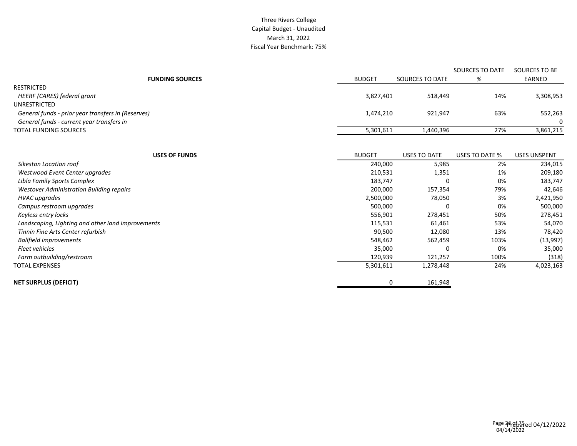#### Three Rivers College Capital Budget - Unaudited March 31, 2022 Fiscal Year Benchmark: 75%

|                                                    |               |                     | SOURCES TO DATE | SOURCES TO BE       |
|----------------------------------------------------|---------------|---------------------|-----------------|---------------------|
| <b>FUNDING SOURCES</b>                             | <b>BUDGET</b> | SOURCES TO DATE     | %               | EARNED              |
| <b>RESTRICTED</b>                                  |               |                     |                 |                     |
| HEERF (CARES) federal grant                        | 3,827,401     | 518,449             | 14%             | 3,308,953           |
| UNRESTRICTED                                       |               |                     |                 |                     |
| General funds - prior year transfers in (Reserves) | 1,474,210     | 921,947             | 63%             | 552,263             |
| General funds - current year transfers in          |               |                     |                 | 0                   |
| <b>TOTAL FUNDING SOURCES</b>                       | 5,301,611     | 1,440,396           | 27%             | 3,861,215           |
|                                                    |               |                     |                 |                     |
| <b>USES OF FUNDS</b>                               | <b>BUDGET</b> | <b>USES TO DATE</b> | USES TO DATE %  | <b>USES UNSPENT</b> |
| Sikeston Location roof                             | 240,000       | 5,985               | 2%              | 234,015             |
| Westwood Event Center upgrades                     | 210,531       | 1,351               | 1%              | 209,180             |
| Libla Family Sports Complex                        | 183,747       | 0                   | 0%              | 183,747             |
| Westover Administration Building repairs           | 200,000       | 157,354             | 79%             | 42,646              |
| <b>HVAC</b> upgrades                               | 2,500,000     | 78,050              | 3%              | 2,421,950           |
| Campus restroom upgrades                           | 500,000       | 0                   | 0%              | 500,000             |
| Keyless entry locks                                | 556,901       | 278,451             | 50%             | 278,451             |
| Landscaping, Lighting and other land improvements  | 115,531       | 61,461              | 53%             | 54,070              |
| Tinnin Fine Arts Center refurbish                  | 90,500        | 12,080              | 13%             | 78,420              |
| <b>Ballfield improvements</b>                      | 548,462       | 562,459             | 103%            | (13,997)            |
| Fleet vehicles                                     | 35,000        | 0                   | 0%              | 35,000              |
| Farm outbuilding/restroom                          | 120,939       | 121,257             | 100%            | (318)               |
| <b>TOTAL EXPENSES</b>                              | 5,301,611     | 1,278,448           | 24%             | 4,023,163           |
| <b>NET SURPLUS (DEFICIT)</b>                       | 0             | 161,948             |                 |                     |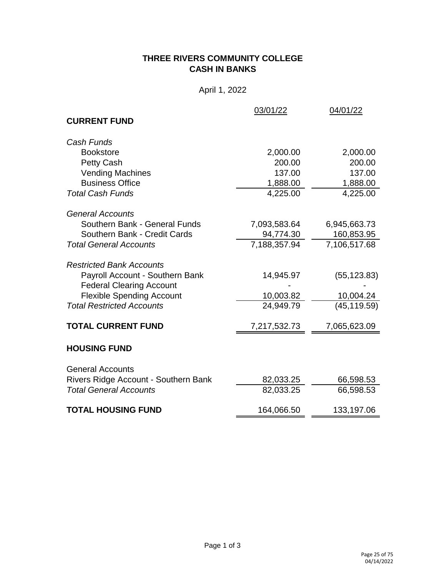# **THREE RIVERS COMMUNITY COLLEGE CASH IN BANKS**

April 1, 2022

|                                      | 03/01/22     | 04/01/22     |
|--------------------------------------|--------------|--------------|
| <b>CURRENT FUND</b>                  |              |              |
| Cash Funds                           |              |              |
| <b>Bookstore</b>                     | 2,000.00     | 2,000.00     |
| Petty Cash                           | 200.00       | 200.00       |
| <b>Vending Machines</b>              | 137.00       | 137.00       |
| <b>Business Office</b>               | 1,888.00     | 1,888.00     |
| <b>Total Cash Funds</b>              | 4,225.00     | 4,225.00     |
| <b>General Accounts</b>              |              |              |
| Southern Bank - General Funds        | 7,093,583.64 | 6,945,663.73 |
| Southern Bank - Credit Cards         | 94,774.30    | 160,853.95   |
| <b>Total General Accounts</b>        | 7,188,357.94 | 7,106,517.68 |
| <b>Restricted Bank Accounts</b>      |              |              |
| Payroll Account - Southern Bank      | 14,945.97    | (55, 123.83) |
| <b>Federal Clearing Account</b>      |              |              |
| <b>Flexible Spending Account</b>     | 10,003.82    | 10,004.24    |
| <b>Total Restricted Accounts</b>     | 24,949.79    | (45, 119.59) |
| <b>TOTAL CURRENT FUND</b>            | 7,217,532.73 | 7,065,623.09 |
| <b>HOUSING FUND</b>                  |              |              |
| <b>General Accounts</b>              |              |              |
| Rivers Ridge Account - Southern Bank | 82,033.25    | 66,598.53    |
| <b>Total General Accounts</b>        | 82,033.25    | 66,598.53    |
| <b>TOTAL HOUSING FUND</b>            | 164,066.50   | 133,197.06   |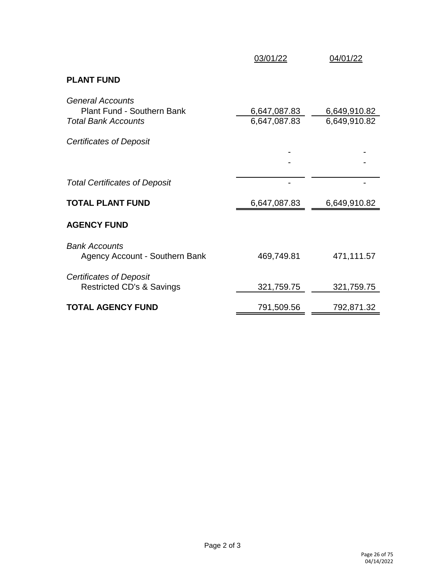|                                                                                            | 03/01/22                     | 04/01/22                     |
|--------------------------------------------------------------------------------------------|------------------------------|------------------------------|
| <b>PLANT FUND</b>                                                                          |                              |                              |
| <b>General Accounts</b><br><b>Plant Fund - Southern Bank</b><br><b>Total Bank Accounts</b> | 6,647,087.83<br>6,647,087.83 | 6,649,910.82<br>6,649,910.82 |
| Certificates of Deposit                                                                    |                              |                              |
|                                                                                            |                              |                              |
| <b>Total Certificates of Deposit</b>                                                       |                              |                              |
| <b>TOTAL PLANT FUND</b>                                                                    | 6,647,087.83                 | 6,649,910.82                 |
| <b>AGENCY FUND</b>                                                                         |                              |                              |
| <b>Bank Accounts</b><br>Agency Account - Southern Bank                                     | 469,749.81                   | 471,111.57                   |
| Certificates of Deposit<br><b>Restricted CD's &amp; Savings</b>                            | 321,759.75                   | 321,759.75                   |
| <b>TOTAL AGENCY FUND</b>                                                                   | 791,509.56                   | 792,871.32                   |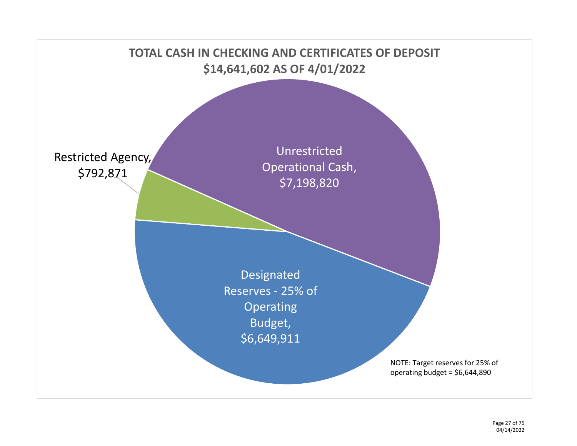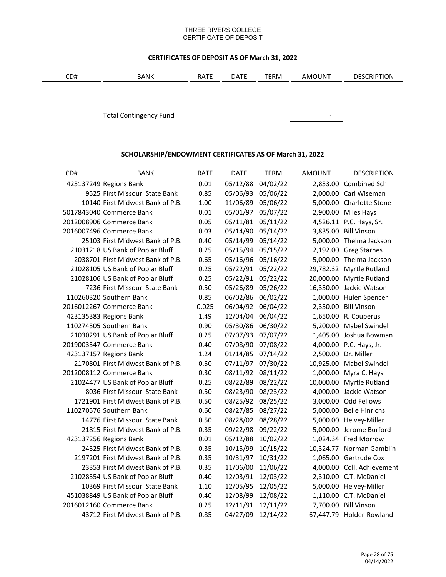#### THREE RIVERS COLLEGE CERTIFICATE OF DEPOSIT

## **CERTIFICATES OF DEPOSIT AS OF March 31, 2022**

| CD#<br>TERM<br>$\sim$<br><b>BANK</b><br>$\sim$<br>JUN.<br><b>RATE</b><br>. د.<br>AMO<br>┑╷╻ | אסודי<br>DE.<br>ĸш |
|---------------------------------------------------------------------------------------------|--------------------|
|---------------------------------------------------------------------------------------------|--------------------|

Total Contingency Fund **Continues and Continues Continues and Continues Continues Continues Continues Continues Continues Continues Continues Continues Continues Continues Continues Continues Continues Continues Continues** 



# **SCHOLARSHIP/ENDOWMENT CERTIFICATES AS OF March 31, 2022**

| CD# | <b>BANK</b>                        | <b>RATE</b> | <b>DATE</b>       | <b>TERM</b>       | <b>AMOUNT</b> | <b>DESCRIPTION</b>         |
|-----|------------------------------------|-------------|-------------------|-------------------|---------------|----------------------------|
|     | 423137249 Regions Bank             | 0.01        | 05/12/88          | 04/02/22          |               | 2,833.00 Combined Sch      |
|     | 9525 First Missouri State Bank     | 0.85        | 05/06/93          | 05/06/22          |               | 2,000.00 Carl Wiseman      |
|     | 10140 First Midwest Bank of P.B.   | 1.00        | 11/06/89          | 05/06/22          |               | 5,000.00 Charlotte Stone   |
|     | 5017843040 Commerce Bank           | 0.01        | 05/01/97          | 05/07/22          |               | 2,900.00 Miles Hays        |
|     | 2012008906 Commerce Bank           | 0.05        | 05/11/81          | 05/11/22          |               | 4,526.11 P.C. Hays, Sr.    |
|     | 2016007496 Commerce Bank           | 0.03        | 05/14/90          | 05/14/22          |               | 3,835.00 Bill Vinson       |
|     | 25103 First Midwest Bank of P.B.   | 0.40        | 05/14/99          | 05/14/22          |               | 5,000.00 Thelma Jackson    |
|     | 21031218 US Bank of Poplar Bluff   | 0.25        | 05/15/94          | 05/15/22          |               | 2,192.00 Greg Starnes      |
|     | 2038701 First Midwest Bank of P.B. | 0.65        | 05/16/96 05/16/22 |                   |               | 5,000.00 Thelma Jackson    |
|     | 21028105 US Bank of Poplar Bluff   | 0.25        | 05/22/91 05/22/22 |                   |               | 29,782.32 Myrtle Rutland   |
|     | 21028106 US Bank of Poplar Bluff   | 0.25        | 05/22/91 05/22/22 |                   |               | 20,000.00 Myrtle Rutland   |
|     | 7236 First Missouri State Bank     | 0.50        | 05/26/89          | 05/26/22          |               | 16,350.00 Jackie Watson    |
|     | 110260320 Southern Bank            | 0.85        | 06/02/86          | 06/02/22          |               | 1,000.00 Hulen Spencer     |
|     | 2016012267 Commerce Bank           | 0.025       | 06/04/92          | 06/04/22          |               | 2,350.00 Bill Vinson       |
|     | 423135383 Regions Bank             | 1.49        | 12/04/04          | 06/04/22          |               | 1,650.00 R. Couperus       |
|     | 110274305 Southern Bank            | 0.90        | 05/30/86          | 06/30/22          |               | 5,200.00 Mabel Swindel     |
|     | 21030291 US Bank of Poplar Bluff   | 0.25        | 07/07/93          | 07/07/22          |               | 1,405.00 Joshua Bowman     |
|     | 2019003547 Commerce Bank           | 0.40        | 07/08/90          | 07/08/22          |               | 4,000.00 P.C. Hays, Jr.    |
|     | 423137157 Regions Bank             | 1.24        | 01/14/85          | 07/14/22          |               | 2,500.00 Dr. Miller        |
|     | 2170801 First Midwest Bank of P.B. | 0.50        | 07/11/97          | 07/30/22          |               | 10,925.00 Mabel Swindel    |
|     | 2012008112 Commerce Bank           | 0.30        | 08/11/92          | 08/11/22          |               | 1,000.00 Myra C. Hays      |
|     | 21024477 US Bank of Poplar Bluff   | 0.25        | 08/22/89          | 08/22/22          |               | 10,000.00 Myrtle Rutland   |
|     | 8036 First Missouri State Bank     | 0.50        | 08/23/90          | 08/23/22          |               | 4,000.00 Jackie Watson     |
|     | 1721901 First Midwest Bank of P.B. | 0.50        | 08/25/92          | 08/25/22          |               | 3,000.00 Odd Fellows       |
|     | 110270576 Southern Bank            | 0.60        | 08/27/85          | 08/27/22          |               | 5,000.00 Belle Hinrichs    |
|     | 14776 First Missouri State Bank    | 0.50        | 08/28/02          | 08/28/22          |               | 5,000.00 Helvey-Miller     |
|     | 21815 First Midwest Bank of P.B.   | 0.35        | 09/22/98          | 09/22/22          |               | 5,000.00 Jerome Burford    |
|     | 423137256 Regions Bank             | 0.01        | 05/12/88          | 10/02/22          |               | 1,024.34 Fred Morrow       |
|     | 24325 First Midwest Bank of P.B.   | 0.35        | 10/15/99          | 10/15/22          |               | 10,324.77 Norman Gamblin   |
|     | 2197201 First Midwest Bank of P.B. | 0.35        | 10/31/97          | 10/31/22          |               | 1,065.00 Gertrude Cox      |
|     | 23353 First Midwest Bank of P.B.   | 0.35        | 11/06/00          | 11/06/22          |               | 4,000.00 Coll. Achievement |
|     | 21028354 US Bank of Poplar Bluff   | 0.40        | 12/03/91          | 12/03/22          |               | 2,310.00 C.T. McDaniel     |
|     | 10369 First Missouri State Bank    | 1.10        |                   | 12/05/95 12/05/22 |               | 5,000.00 Helvey-Miller     |
|     | 451038849 US Bank of Poplar Bluff  | 0.40        | 12/08/99          | 12/08/22          |               | 1,110.00 C.T. McDaniel     |
|     | 2016012160 Commerce Bank           | 0.25        | 12/11/91          | 12/11/22          |               | 7,700.00 Bill Vinson       |
|     | 43712 First Midwest Bank of P.B.   | 0.85        | 04/27/09          | 12/14/22          |               | 67,447.79 Holder-Rowland   |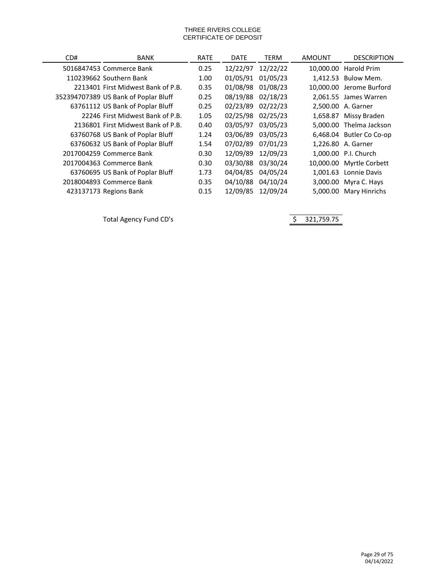#### THREE RIVERS COLLEGE CERTIFICATE OF DEPOSIT

| CD# | BANK                                 | <b>RATE</b> | <b>DATE</b> | TERM     | AMOUNT   | <b>DESCRIPTION</b>       |
|-----|--------------------------------------|-------------|-------------|----------|----------|--------------------------|
|     | 5016847453 Commerce Bank             | 0.25        | 12/22/97    | 12/22/22 |          | 10,000.00 Harold Prim    |
|     | 110239662 Southern Bank              | 1.00        | 01/05/91    | 01/05/23 |          | 1,412.53 Bulow Mem.      |
|     | 2213401 First Midwest Bank of P.B.   | 0.35        | 01/08/98    | 01/08/23 |          | 10.000.00 Jerome Burford |
|     | 352394707389 US Bank of Poplar Bluff | 0.25        | 08/19/88    | 02/18/23 |          | 2,061.55 James Warren    |
|     | 63761112 US Bank of Poplar Bluff     | 0.25        | 02/23/89    | 02/22/23 |          | 2.500.00 A. Garner       |
|     | 22246 First Midwest Bank of P.B.     | 1.05        | 02/25/98    | 02/25/23 |          | 1,658.87 Missy Braden    |
|     | 2136801 First Midwest Bank of P.B.   | 0.40        | 03/05/97    | 03/05/23 |          | 5.000.00 Thelma Jackson  |
|     | 63760768 US Bank of Poplar Bluff     | 1.24        | 03/06/89    | 03/05/23 |          | 6,468.04 Butler Co Co-op |
|     | 63760632 US Bank of Poplar Bluff     | 1.54        | 07/02/89    | 07/01/23 |          | 1,226.80 A. Garner       |
|     | 2017004259 Commerce Bank             | 0.30        | 12/09/89    | 12/09/23 |          | 1.000.00 P.I. Church     |
|     | 2017004363 Commerce Bank             | 0.30        | 03/30/88    | 03/30/24 |          | 10,000.00 Myrtle Corbett |
|     | 63760695 US Bank of Poplar Bluff     | 1.73        | 04/04/85    | 04/05/24 | 1,001.63 | Lonnie Davis             |
|     | 2018004893 Commerce Bank             | 0.35        | 04/10/88    | 04/10/24 |          | 3,000.00 Myra C. Hays    |
|     | 423137173 Regions Bank               | 0.15        | 12/09/85    | 12/09/24 | 5.000.00 | Mary Hinrichs            |

Total Agency Fund CD's and the state of the Same State of the Same State of the Same State of the Same State of Same State of the Same State of the Same State of the Same State of the Same State of the Same State of the Sa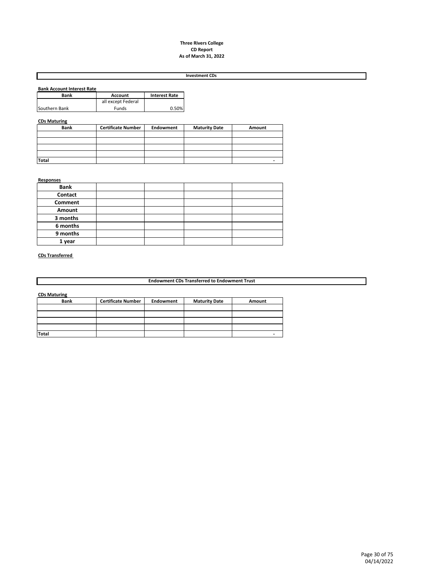#### **Three Rivers College CD Report As of March 31, 2022**

#### **Investment CDs**

| <b>Bank Account Interest Rate</b> |                    |                      |
|-----------------------------------|--------------------|----------------------|
| Bank                              | <b>Account</b>     | <b>Interest Rate</b> |
|                                   | all except Federal |                      |
| Southern Bank                     | Funds              | 0.50%                |

#### **CDs Maturing**

| <b>Bank</b>  | <b>Certificate Number</b> | Endowment | <b>Maturity Date</b> | Amount |
|--------------|---------------------------|-----------|----------------------|--------|
|              |                           |           |                      |        |
|              |                           |           |                      |        |
|              |                           |           |                      |        |
|              |                           |           |                      |        |
| <b>Total</b> |                           |           |                      |        |

#### **Responses**

| <b>Bank</b> |  |  |
|-------------|--|--|
| Contact     |  |  |
| Comment     |  |  |
| Amount      |  |  |
| 3 months    |  |  |
| 6 months    |  |  |
| 9 months    |  |  |
| 1 year      |  |  |

#### **CDs Transferred**

**Endowment CDs Transferred to Endowment Trust**

**CDs Maturing**

| <b>Bank</b>  | <b>Certificate Number</b> | Endowment | <b>Maturity Date</b> | Amount |
|--------------|---------------------------|-----------|----------------------|--------|
|              |                           |           |                      |        |
|              |                           |           |                      |        |
|              |                           |           |                      |        |
|              |                           |           |                      |        |
| <b>Total</b> |                           |           |                      |        |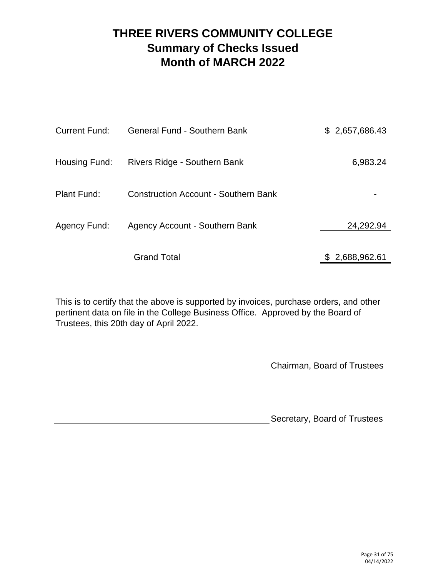# **THREE RIVERS COMMUNITY COLLEGE Summary of Checks Issued Month of MARCH 2022**

| <b>Current Fund:</b> | <b>General Fund - Southern Bank</b>         | \$2,657,686.43 |
|----------------------|---------------------------------------------|----------------|
| Housing Fund:        | Rivers Ridge - Southern Bank                | 6,983.24       |
| Plant Fund:          | <b>Construction Account - Southern Bank</b> |                |
| Agency Fund:         | Agency Account - Southern Bank              | 24,292.94      |
|                      | <b>Grand Total</b>                          | \$2,688,962.61 |

This is to certify that the above is supported by invoices, purchase orders, and other pertinent data on file in the College Business Office. Approved by the Board of Trustees, this 20th day of April 2022.

Chairman, Board of Trustees

Secretary, Board of Trustees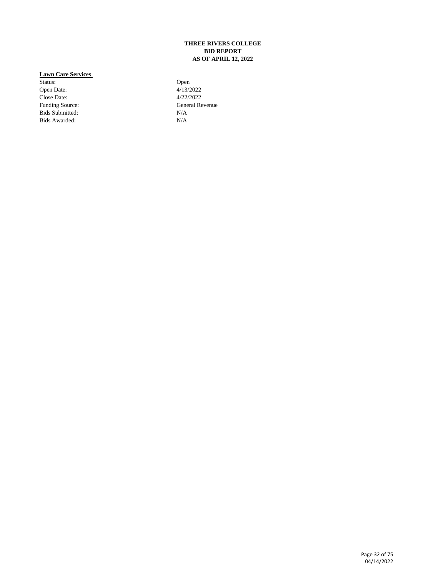#### **THREE RIVERS COLLEGE BID REPORT AS OF APRIL 12, 2022**

#### **Lawn Care Services**

Status: Open Date: 013/2022 Open Date: 4/13/2022<br>Close Date: 4/22/2022 Close Date:<br>Funding Source: Bids Submitted: Bids Awarded: N/A

General Revenue<br>N/A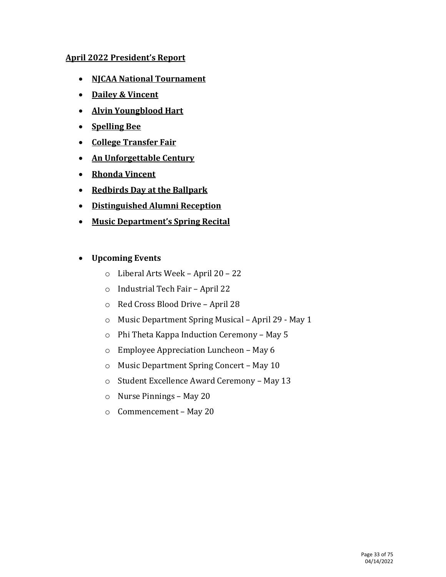# **April 2022 President's Report**

- **NJCAA National Tournament**
- **Dailey & Vincent**
- **Alvin Youngblood Hart**
- **Spelling Bee**
- **College Transfer Fair**
- **An Unforgettable Century**
- **Rhonda Vincent**
- **Redbirds Day at the Ballpark**
- **Distinguished Alumni Reception**
- **Music Department's Spring Recital**

# • **Upcoming Events**

- o Liberal Arts Week April 20 22
- o Industrial Tech Fair April 22
- o Red Cross Blood Drive April 28
- o Music Department Spring Musical April 29 May 1
- o Phi Theta Kappa Induction Ceremony May 5
- o Employee Appreciation Luncheon May 6
- o Music Department Spring Concert May 10
- o Student Excellence Award Ceremony May 13
- o Nurse Pinnings May 20
- o Commencement May 20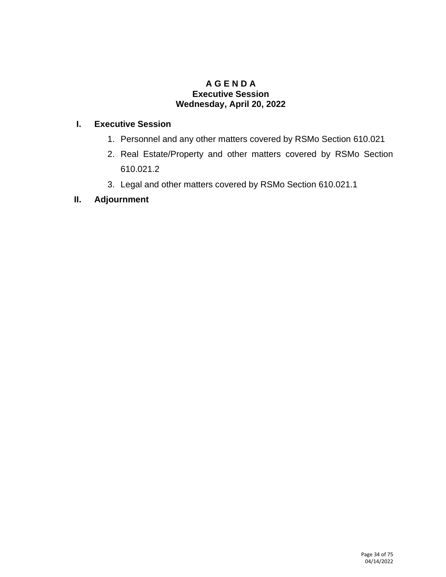# **A G E N D A Executive Session Wednesday, April 20, 2022**

# **I. Executive Session**

- 1. Personnel and any other matters covered by RSMo Section 610.021
- 2. Real Estate/Property and other matters covered by RSMo Section 610.021.2
- 3. Legal and other matters covered by RSMo Section 610.021.1

# **II. Adjournment**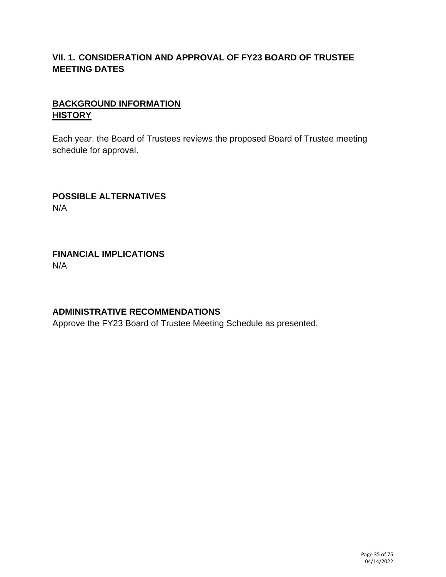# **VII. 1. CONSIDERATION AND APPROVAL OF FY23 BOARD OF TRUSTEE MEETING DATES**

# **BACKGROUND INFORMATION HISTORY**

Each year, the Board of Trustees reviews the proposed Board of Trustee meeting schedule for approval.

# **POSSIBLE ALTERNATIVES** N/A

# **FINANCIAL IMPLICATIONS** N/A

# **ADMINISTRATIVE RECOMMENDATIONS**

Approve the FY23 Board of Trustee Meeting Schedule as presented.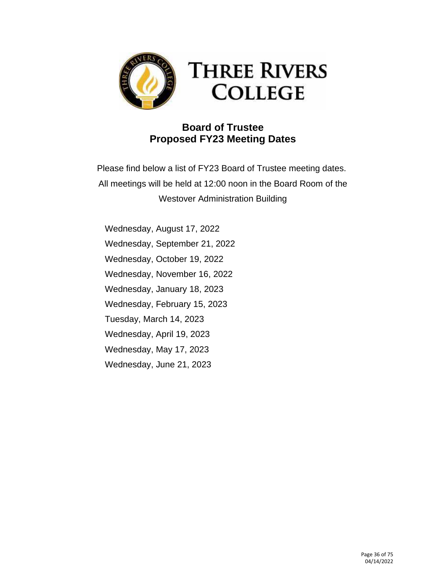

# **THREE RIVERS COLLEGE**

# **Board of Trustee Proposed FY23 Meeting Dates**

Please find below a list of FY23 Board of Trustee meeting dates. All meetings will be held at 12:00 noon in the Board Room of the Westover Administration Building

Wednesday, August 17, 2022 Wednesday, September 21, 2022 Wednesday, October 19, 2022 Wednesday, November 16, 2022 Wednesday, January 18, 2023 Wednesday, February 15, 2023 Tuesday, March 14, 2023 Wednesday, April 19, 2023 Wednesday, May 17, 2023 Wednesday, June 21, 2023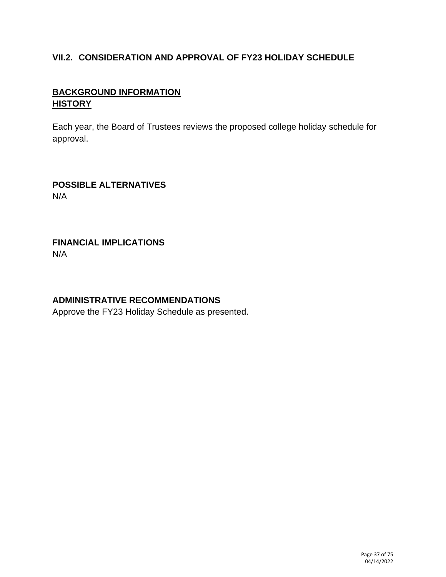# **VII.2. CONSIDERATION AND APPROVAL OF FY23 HOLIDAY SCHEDULE**

# **BACKGROUND INFORMATION HISTORY**

Each year, the Board of Trustees reviews the proposed college holiday schedule for approval.

**POSSIBLE ALTERNATIVES** N/A

### **FINANCIAL IMPLICATIONS** N/A

## **ADMINISTRATIVE RECOMMENDATIONS**

Approve the FY23 Holiday Schedule as presented.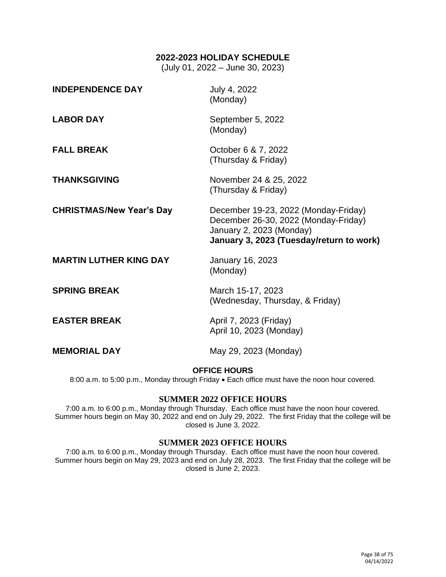#### **2022-2023 HOLIDAY SCHEDULE**

(July 01, 2022 – June 30, 2023)

| <b>INDEPENDENCE DAY</b>         | July 4, 2022<br>(Monday)                                                                                                                             |
|---------------------------------|------------------------------------------------------------------------------------------------------------------------------------------------------|
| <b>LABOR DAY</b>                | September 5, 2022<br>(Monday)                                                                                                                        |
| <b>FALL BREAK</b>               | October 6 & 7, 2022<br>(Thursday & Friday)                                                                                                           |
| <b>THANKSGIVING</b>             | November 24 & 25, 2022<br>(Thursday & Friday)                                                                                                        |
| <b>CHRISTMAS/New Year's Day</b> | December 19-23, 2022 (Monday-Friday)<br>December 26-30, 2022 (Monday-Friday)<br>January 2, 2023 (Monday)<br>January 3, 2023 (Tuesday/return to work) |
| <b>MARTIN LUTHER KING DAY</b>   | January 16, 2023<br>(Monday)                                                                                                                         |
| <b>SPRING BREAK</b>             | March 15-17, 2023<br>(Wednesday, Thursday, & Friday)                                                                                                 |
| <b>EASTER BREAK</b>             | April 7, 2023 (Friday)<br>April 10, 2023 (Monday)                                                                                                    |
| <b>MEMORIAL DAY</b>             | May 29, 2023 (Monday)                                                                                                                                |

#### **OFFICE HOURS**

8:00 a.m. to 5:00 p.m., Monday through Friday • Each office must have the noon hour covered.

#### **SUMMER 2022 OFFICE HOURS**

7:00 a.m. to 6:00 p.m., Monday through Thursday. Each office must have the noon hour covered. Summer hours begin on May 30, 2022 and end on July 29, 2022. The first Friday that the college will be closed is June 3, 2022.

#### **SUMMER 2023 OFFICE HOURS**

7:00 a.m. to 6:00 p.m., Monday through Thursday. Each office must have the noon hour covered. Summer hours begin on May 29, 2023 and end on July 28, 2023. The first Friday that the college will be closed is June 2, 2023.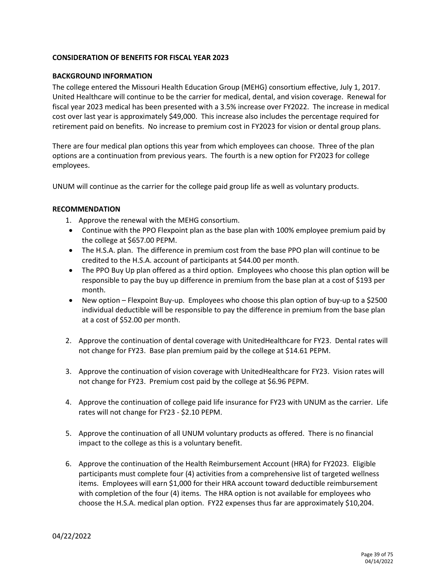#### **CONSIDERATION OF BENEFITS FOR FISCAL YEAR 2023**

#### **BACKGROUND INFORMATION**

The college entered the Missouri Health Education Group (MEHG) consortium effective, July 1, 2017. United Healthcare will continue to be the carrier for medical, dental, and vision coverage. Renewal for fiscal year 2023 medical has been presented with a 3.5% increase over FY2022. The increase in medical cost over last year is approximately \$49,000. This increase also includes the percentage required for retirement paid on benefits. No increase to premium cost in FY2023 for vision or dental group plans.

There are four medical plan options this year from which employees can choose. Three of the plan options are a continuation from previous years. The fourth is a new option for FY2023 for college employees.

UNUM will continue as the carrier for the college paid group life as well as voluntary products.

#### **RECOMMENDATION**

- 1. Approve the renewal with the MEHG consortium.
- Continue with the PPO Flexpoint plan as the base plan with 100% employee premium paid by the college at \$657.00 PEPM.
- The H.S.A. plan. The difference in premium cost from the base PPO plan will continue to be credited to the H.S.A. account of participants at \$44.00 per month.
- The PPO Buy Up plan offered as a third option. Employees who choose this plan option will be responsible to pay the buy up difference in premium from the base plan at a cost of \$193 per month.
- New option Flexpoint Buy-up. Employees who choose this plan option of buy-up to a \$2500 individual deductible will be responsible to pay the difference in premium from the base plan at a cost of \$52.00 per month.
- 2. Approve the continuation of dental coverage with UnitedHealthcare for FY23. Dental rates will not change for FY23. Base plan premium paid by the college at \$14.61 PEPM.
- 3. Approve the continuation of vision coverage with UnitedHealthcare for FY23. Vision rates will not change for FY23. Premium cost paid by the college at \$6.96 PEPM.
- 4. Approve the continuation of college paid life insurance for FY23 with UNUM as the carrier. Life rates will not change for FY23 - \$2.10 PEPM.
- 5. Approve the continuation of all UNUM voluntary products as offered. There is no financial impact to the college as this is a voluntary benefit.
- 6. Approve the continuation of the Health Reimbursement Account (HRA) for FY2023. Eligible participants must complete four (4) activities from a comprehensive list of targeted wellness items. Employees will earn \$1,000 for their HRA account toward deductible reimbursement with completion of the four (4) items. The HRA option is not available for employees who choose the H.S.A. medical plan option. FY22 expenses thus far are approximately \$10,204.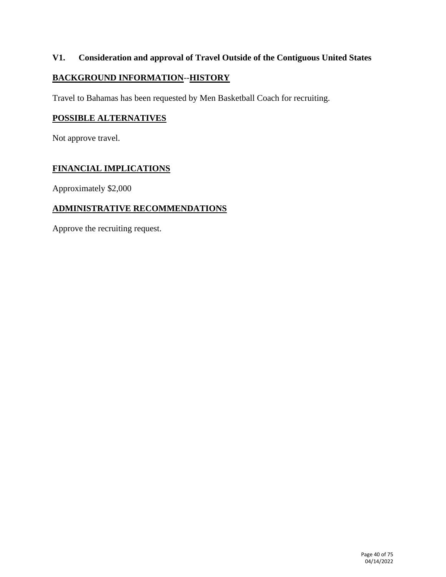## **V1. Consideration and approval of Travel Outside of the Contiguous United States**

## **BACKGROUND INFORMATION**--**HISTORY**

Travel to Bahamas has been requested by Men Basketball Coach for recruiting.

### **POSSIBLE ALTERNATIVES**

Not approve travel.

## **FINANCIAL IMPLICATIONS**

Approximately \$2,000

## **ADMINISTRATIVE RECOMMENDATIONS**

Approve the recruiting request.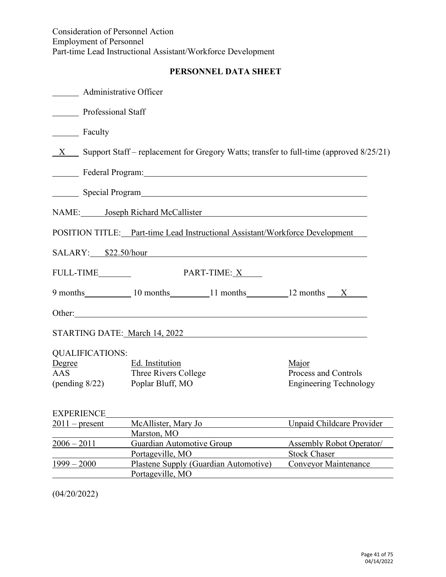# **PERSONNEL DATA SHEET**

| <b>Administrative Officer</b>   |                                                                                                                                                                                                                                      |                                 |
|---------------------------------|--------------------------------------------------------------------------------------------------------------------------------------------------------------------------------------------------------------------------------------|---------------------------------|
| <b>Professional Staff</b>       |                                                                                                                                                                                                                                      |                                 |
| Faculty                         |                                                                                                                                                                                                                                      |                                 |
| X                               | Support Staff – replacement for Gregory Watts; transfer to full-time (approved 8/25/21)                                                                                                                                              |                                 |
|                                 | Federal Program: The Contract of the Contract of the Contract of the Contract of the Contract of the Contract of the Contract of the Contract of the Contract of the Contract of the Contract of the Contract of the Contract        |                                 |
|                                 | Special Program Special Program                                                                                                                                                                                                      |                                 |
|                                 | NAME: Joseph Richard McCallister                                                                                                                                                                                                     |                                 |
|                                 | POSITION TITLE: Part-time Lead Instructional Assistant/Workforce Development                                                                                                                                                         |                                 |
|                                 | SALARY: \$22.50/hour                                                                                                                                                                                                                 |                                 |
| FULL-TIME                       | PART-TIME: X                                                                                                                                                                                                                         |                                 |
|                                 | 9 months 10 months 11 months 12 months X                                                                                                                                                                                             |                                 |
|                                 | Other: <u>contract the contract of the contract of the contract of the contract of the contract of the contract of the contract of the contract of the contract of the contract of the contract of the contract of the contract </u> |                                 |
|                                 | STARTING DATE: March 14, 2022                                                                                                                                                                                                        |                                 |
| <b>QUALIFICATIONS:</b>          |                                                                                                                                                                                                                                      |                                 |
| Degree                          | Ed. Institution                                                                                                                                                                                                                      | Major                           |
| <b>AAS</b>                      | Three Rivers College                                                                                                                                                                                                                 | Process and Controls            |
| (pending 8/22) Poplar Bluff, MO |                                                                                                                                                                                                                                      | <b>Engineering Technology</b>   |
| <b>EXPERIENCE</b>               |                                                                                                                                                                                                                                      |                                 |
| $2011$ – present                | McAllister, Mary Jo                                                                                                                                                                                                                  | Unpaid Childcare Provider       |
|                                 | Marston, MO                                                                                                                                                                                                                          |                                 |
| $2006 - 2011$                   | Guardian Automotive Group                                                                                                                                                                                                            | <b>Assembly Robot Operator/</b> |
|                                 | Portageville, MO                                                                                                                                                                                                                     | <b>Stock Chaser</b>             |
| $1999 - 2000$                   | Plastene Supply (Guardian Automotive)                                                                                                                                                                                                | <b>Conveyor Maintenance</b>     |
|                                 | Portageville, MO                                                                                                                                                                                                                     |                                 |

(04/20/2022)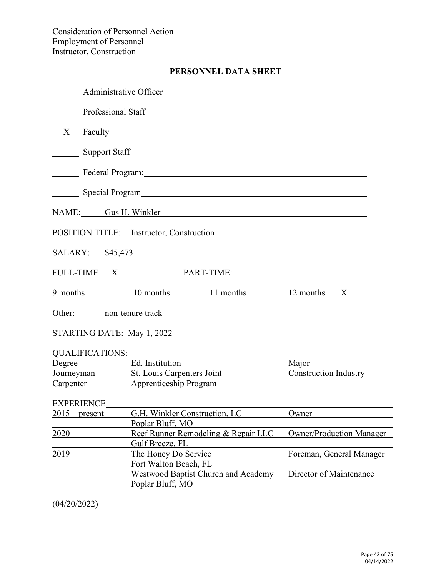# **PERSONNEL DATA SHEET**

| <b>Administrative Officer</b> |                                                                                                                                                                                                                                |                                 |
|-------------------------------|--------------------------------------------------------------------------------------------------------------------------------------------------------------------------------------------------------------------------------|---------------------------------|
| <b>Professional Staff</b>     |                                                                                                                                                                                                                                |                                 |
| $X$ Faculty                   |                                                                                                                                                                                                                                |                                 |
| <b>Support Staff</b>          |                                                                                                                                                                                                                                |                                 |
|                               | Lackson Contract Program: Lackson Contract Program:                                                                                                                                                                            |                                 |
|                               |                                                                                                                                                                                                                                |                                 |
|                               | NAME: Gus H. Winkler                                                                                                                                                                                                           |                                 |
|                               | POSITION TITLE: Instructor, Construction                                                                                                                                                                                       |                                 |
|                               | SALARY: \$45,473                                                                                                                                                                                                               |                                 |
| $\n  FULL-TIME \quad X \quad$ | PART-TIME:                                                                                                                                                                                                                     |                                 |
|                               | 9 months 10 months 11 months 12 months X                                                                                                                                                                                       |                                 |
|                               | Other: non-tenure track on the contract of the contract of the contract of the contract of the contract of the contract of the contract of the contract of the contract of the contract of the contract of the contract of the |                                 |
|                               | STARTING DATE: May 1, 2022 2001 12:00 12:00 12:00 12:00 12:00 12:00 12:00 12:00 12:00 12:00 12:00 12:00 12:00 1                                                                                                                |                                 |
| <b>QUALIFICATIONS:</b>        |                                                                                                                                                                                                                                |                                 |
| Degree                        | Ed. Institution                                                                                                                                                                                                                | Major                           |
|                               | Journeyman St. Louis Carpenters Joint                                                                                                                                                                                          | <b>Construction Industry</b>    |
| Carpenter                     | <b>Apprenticeship Program</b>                                                                                                                                                                                                  |                                 |
|                               | EXPERIENCE PRODUCERS PRODUCERS                                                                                                                                                                                                 |                                 |
| $2015$ – present              | G.H. Winkler Construction, LC                                                                                                                                                                                                  | Owner                           |
|                               | Poplar Bluff, MO                                                                                                                                                                                                               |                                 |
| 2020                          | Reef Runner Remodeling & Repair LLC                                                                                                                                                                                            | <b>Owner/Production Manager</b> |
|                               | Gulf Breeze, FL                                                                                                                                                                                                                |                                 |
| 2019                          | The Honey Do Service                                                                                                                                                                                                           | Foreman, General Manager        |
|                               | Fort Walton Beach, FL                                                                                                                                                                                                          |                                 |
|                               | <b>Westwood Baptist Church and Academy</b>                                                                                                                                                                                     | Director of Maintenance         |
|                               | Poplar Bluff, MO                                                                                                                                                                                                               |                                 |

(04/20/2022)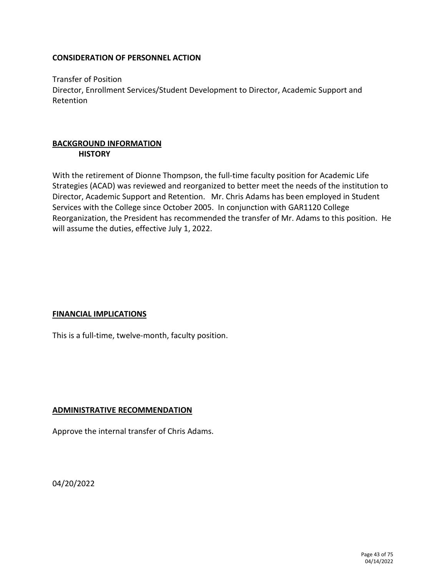Transfer of Position Director, Enrollment Services/Student Development to Director, Academic Support and Retention

### **BACKGROUND INFORMATION HISTORY**

With the retirement of Dionne Thompson, the full-time faculty position for Academic Life Strategies (ACAD) was reviewed and reorganized to better meet the needs of the institution to Director, Academic Support and Retention. Mr. Chris Adams has been employed in Student Services with the College since October 2005. In conjunction with GAR1120 College Reorganization, the President has recommended the transfer of Mr. Adams to this position. He will assume the duties, effective July 1, 2022.

### **FINANCIAL IMPLICATIONS**

This is a full-time, twelve-month, faculty position.

### **ADMINISTRATIVE RECOMMENDATION**

Approve the internal transfer of Chris Adams.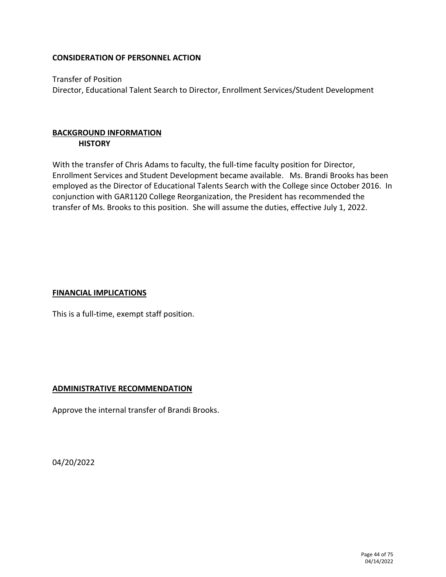Transfer of Position Director, Educational Talent Search to Director, Enrollment Services/Student Development

## **BACKGROUND INFORMATION HISTORY**

With the transfer of Chris Adams to faculty, the full-time faculty position for Director, Enrollment Services and Student Development became available. Ms. Brandi Brooks has been employed as the Director of Educational Talents Search with the College since October 2016. In conjunction with GAR1120 College Reorganization, the President has recommended the transfer of Ms. Brooks to this position. She will assume the duties, effective July 1, 2022.

### **FINANCIAL IMPLICATIONS**

This is a full-time, exempt staff position.

### **ADMINISTRATIVE RECOMMENDATION**

Approve the internal transfer of Brandi Brooks.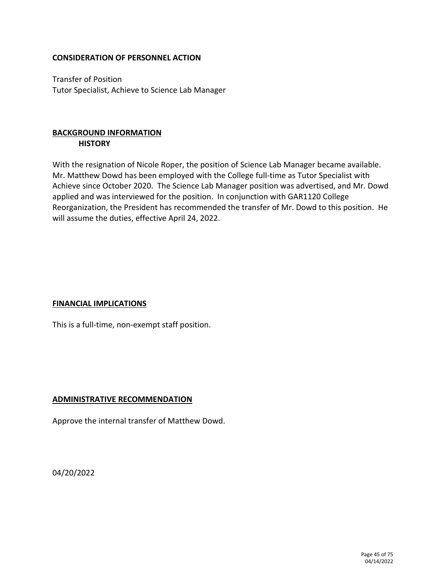Transfer of Position Tutor Specialist, Achieve to Science Lab Manager

## **BACKGROUND INFORMATION HISTORY**

With the resignation of Nicole Roper, the position of Science Lab Manager became available. Mr. Matthew Dowd has been employed with the College full-time as Tutor Specialist with Achieve since October 2020. The Science Lab Manager position was advertised, and Mr. Dowd applied and was interviewed for the position. In conjunction with GAR1120 College Reorganization, the President has recommended the transfer of Mr. Dowd to this position. He will assume the duties, effective April 24, 2022.

### **FINANCIAL IMPLICATIONS**

This is a full-time, non-exempt staff position.

### **ADMINISTRATIVE RECOMMENDATION**

Approve the internal transfer of Matthew Dowd.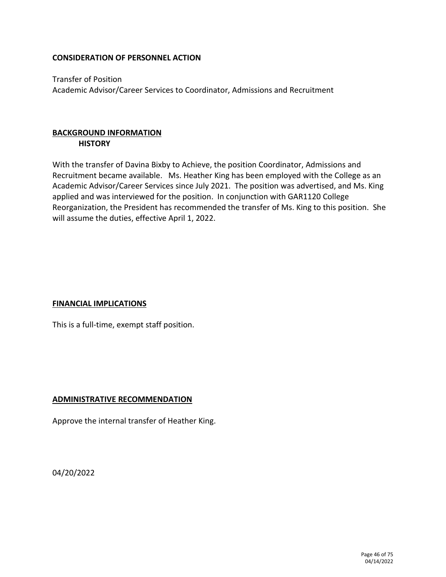Transfer of Position Academic Advisor/Career Services to Coordinator, Admissions and Recruitment

## **BACKGROUND INFORMATION HISTORY**

With the transfer of Davina Bixby to Achieve, the position Coordinator, Admissions and Recruitment became available. Ms. Heather King has been employed with the College as an Academic Advisor/Career Services since July 2021. The position was advertised, and Ms. King applied and was interviewed for the position. In conjunction with GAR1120 College Reorganization, the President has recommended the transfer of Ms. King to this position. She will assume the duties, effective April 1, 2022.

### **FINANCIAL IMPLICATIONS**

This is a full-time, exempt staff position.

### **ADMINISTRATIVE RECOMMENDATION**

Approve the internal transfer of Heather King.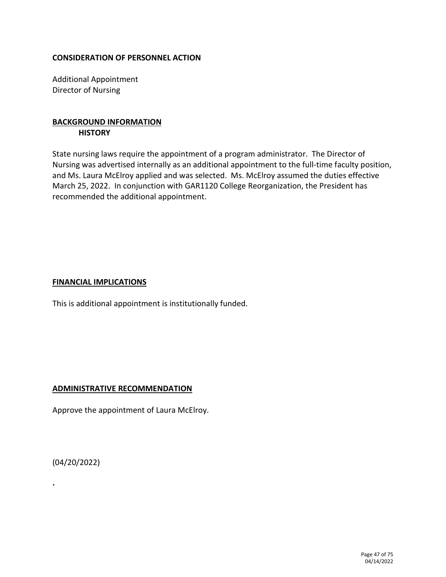Additional Appointment Director of Nursing

### **BACKGROUND INFORMATION HISTORY**

State nursing laws require the appointment of a program administrator. The Director of Nursing was advertised internally as an additional appointment to the full-time faculty position, and Ms. Laura McElroy applied and was selected. Ms. McElroy assumed the duties effective March 25, 2022. In conjunction with GAR1120 College Reorganization, the President has recommended the additional appointment.

### **FINANCIAL IMPLICATIONS**

This is additional appointment is institutionally funded.

### **ADMINISTRATIVE RECOMMENDATION**

Approve the appointment of Laura McElroy.

(04/20/2022)

**.**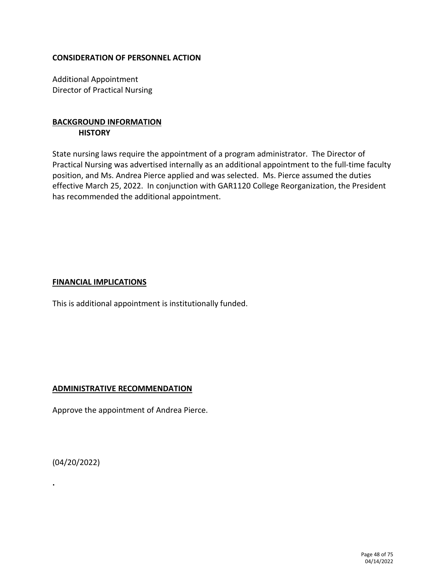Additional Appointment Director of Practical Nursing

### **BACKGROUND INFORMATION HISTORY**

State nursing laws require the appointment of a program administrator. The Director of Practical Nursing was advertised internally as an additional appointment to the full-time faculty position, and Ms. Andrea Pierce applied and was selected. Ms. Pierce assumed the duties effective March 25, 2022. In conjunction with GAR1120 College Reorganization, the President has recommended the additional appointment.

### **FINANCIAL IMPLICATIONS**

This is additional appointment is institutionally funded.

### **ADMINISTRATIVE RECOMMENDATION**

Approve the appointment of Andrea Pierce.

(04/20/2022)

**.**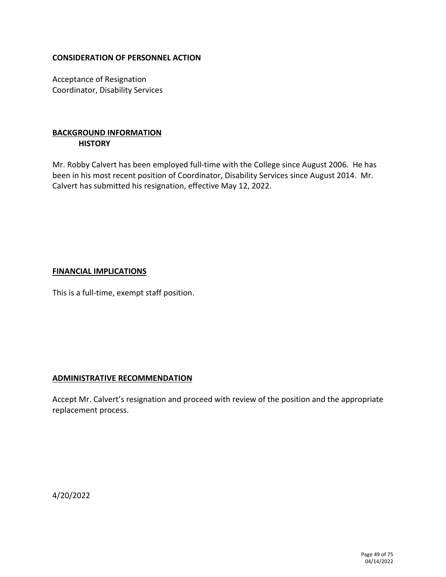Acceptance of Resignation Coordinator, Disability Services

## **BACKGROUND INFORMATION HISTORY**

Mr. Robby Calvert has been employed full-time with the College since August 2006. He has been in his most recent position of Coordinator, Disability Services since August 2014. Mr. Calvert has submitted his resignation, effective May 12, 2022.

### **FINANCIAL IMPLICATIONS**

This is a full-time, exempt staff position.

### **ADMINISTRATIVE RECOMMENDATION**

Accept Mr. Calvert's resignation and proceed with review of the position and the appropriate replacement process.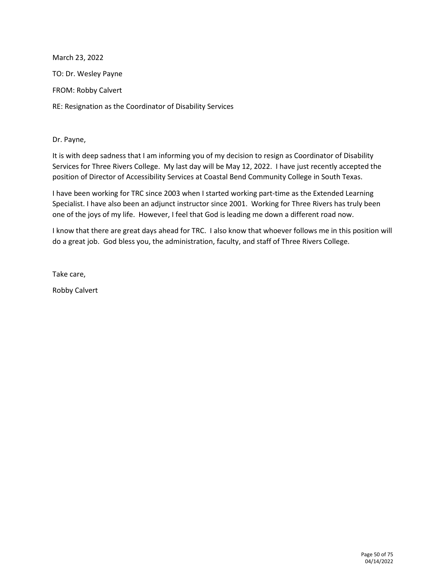March 23, 2022

TO: Dr. Wesley Payne

FROM: Robby Calvert

RE: Resignation as the Coordinator of Disability Services

Dr. Payne,

It is with deep sadness that I am informing you of my decision to resign as Coordinator of Disability Services for Three Rivers College. My last day will be May 12, 2022. I have just recently accepted the position of Director of Accessibility Services at Coastal Bend Community College in South Texas.

I have been working for TRC since 2003 when I started working part-time as the Extended Learning Specialist. I have also been an adjunct instructor since 2001. Working for Three Rivers has truly been one of the joys of my life. However, I feel that God is leading me down a different road now.

I know that there are great days ahead for TRC. I also know that whoever follows me in this position will do a great job. God bless you, the administration, faculty, and staff of Three Rivers College.

Take care,

Robby Calvert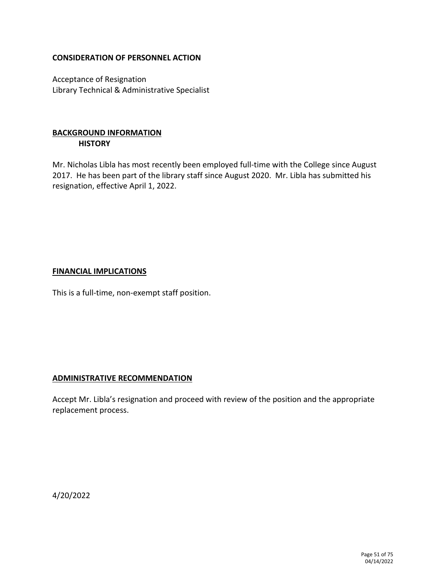Acceptance of Resignation Library Technical & Administrative Specialist

### **BACKGROUND INFORMATION HISTORY**

Mr. Nicholas Libla has most recently been employed full-time with the College since August 2017. He has been part of the library staff since August 2020. Mr. Libla has submitted his resignation, effective April 1, 2022.

### **FINANCIAL IMPLICATIONS**

This is a full-time, non-exempt staff position.

### **ADMINISTRATIVE RECOMMENDATION**

Accept Mr. Libla's resignation and proceed with review of the position and the appropriate replacement process.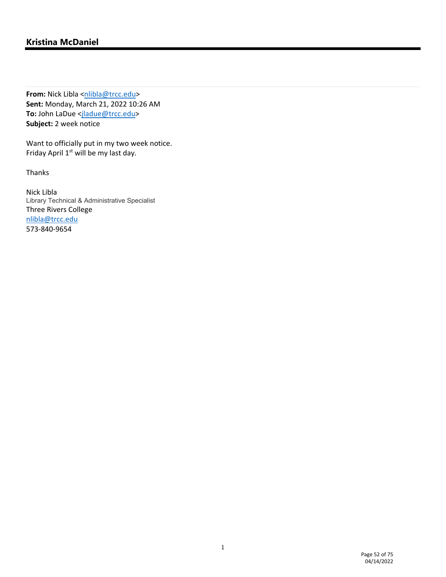# **Kristina McDaniel**

**From:** Nick Libla <nlibla@trcc.edu> **Sent:** Monday, March 21, 2022 10:26 AM To: John LaDue <jladue@trcc.edu> **Subject:** 2 week notice

Want to officially put in my two week notice. Friday April  $1<sup>st</sup>$  will be my last day.

Thanks

Nick Libla Library Technical & Administrative Specialist Three Rivers College nlibla@trcc.edu 573‐840‐9654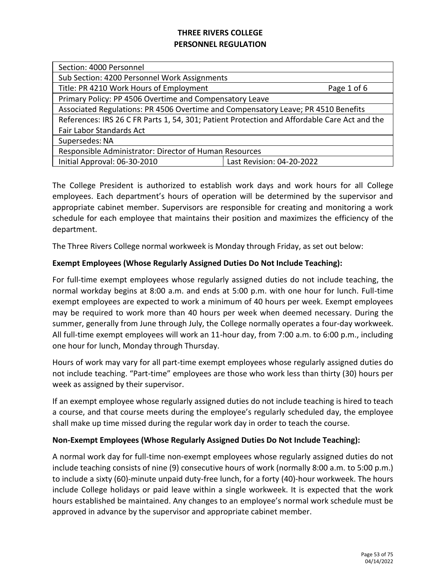| Section: 4000 Personnel                                                                      |  |  |
|----------------------------------------------------------------------------------------------|--|--|
| Sub Section: 4200 Personnel Work Assignments                                                 |  |  |
| Title: PR 4210 Work Hours of Employment<br>Page 1 of 6                                       |  |  |
| Primary Policy: PP 4506 Overtime and Compensatory Leave                                      |  |  |
| Associated Regulations: PR 4506 Overtime and Compensatory Leave; PR 4510 Benefits            |  |  |
| References: IRS 26 C FR Parts 1, 54, 301; Patient Protection and Affordable Care Act and the |  |  |
| Fair Labor Standards Act                                                                     |  |  |
| Supersedes: NA                                                                               |  |  |
| Responsible Administrator: Director of Human Resources                                       |  |  |
| Initial Approval: 06-30-2010<br>Last Revision: 04-20-2022                                    |  |  |
|                                                                                              |  |  |

The College President is authorized to establish work days and work hours for all College employees. Each department's hours of operation will be determined by the supervisor and appropriate cabinet member. Supervisors are responsible for creating and monitoring a work schedule for each employee that maintains their position and maximizes the efficiency of the department.

The Three Rivers College normal workweek is Monday through Friday, as set out below:

### **Exempt Employees (Whose Regularly Assigned Duties Do Not Include Teaching):**

For full-time exempt employees whose regularly assigned duties do not include teaching, the normal workday begins at 8:00 a.m. and ends at 5:00 p.m. with one hour for lunch. Full-time exempt employees are expected to work a minimum of 40 hours per week. Exempt employees may be required to work more than 40 hours per week when deemed necessary. During the summer, generally from June through July, the College normally operates a four-day workweek. All full-time exempt employees will work an 11-hour day, from 7:00 a.m. to 6:00 p.m., including one hour for lunch, Monday through Thursday.

Hours of work may vary for all part-time exempt employees whose regularly assigned duties do not include teaching. "Part-time" employees are those who work less than thirty (30) hours per week as assigned by their supervisor.

If an exempt employee whose regularly assigned duties do not include teaching is hired to teach a course, and that course meets during the employee's regularly scheduled day, the employee shall make up time missed during the regular work day in order to teach the course.

### **Non-Exempt Employees (Whose Regularly Assigned Duties Do Not Include Teaching):**

A normal work day for full-time non-exempt employees whose regularly assigned duties do not include teaching consists of nine (9) consecutive hours of work (normally 8:00 a.m. to 5:00 p.m.) to include a sixty (60)-minute unpaid duty-free lunch, for a forty (40)-hour workweek. The hours include College holidays or paid leave within a single workweek. It is expected that the work hours established be maintained. Any changes to an employee's normal work schedule must be approved in advance by the supervisor and appropriate cabinet member.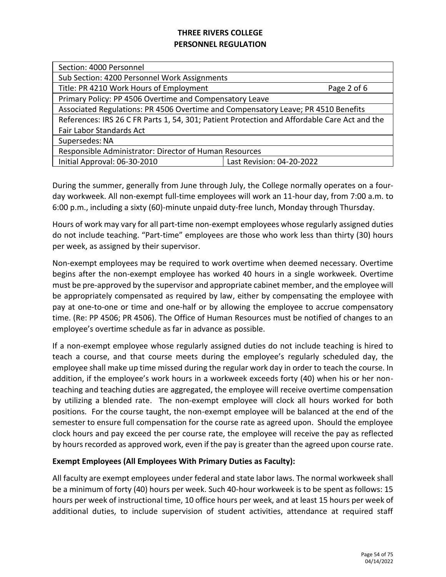| Sub Section: 4200 Personnel Work Assignments                                                 |  |  |
|----------------------------------------------------------------------------------------------|--|--|
| Title: PR 4210 Work Hours of Employment<br>Page 2 of 6                                       |  |  |
| Primary Policy: PP 4506 Overtime and Compensatory Leave                                      |  |  |
| Associated Regulations: PR 4506 Overtime and Compensatory Leave; PR 4510 Benefits            |  |  |
| References: IRS 26 C FR Parts 1, 54, 301; Patient Protection and Affordable Care Act and the |  |  |
| Fair Labor Standards Act                                                                     |  |  |
| Supersedes: NA                                                                               |  |  |
| Responsible Administrator: Director of Human Resources                                       |  |  |
| Initial Approval: 06-30-2010<br>Last Revision: 04-20-2022                                    |  |  |
|                                                                                              |  |  |

During the summer, generally from June through July, the College normally operates on a fourday workweek. All non-exempt full-time employees will work an 11-hour day, from 7:00 a.m. to 6:00 p.m., including a sixty (60)-minute unpaid duty-free lunch, Monday through Thursday.

Hours of work may vary for all part-time non-exempt employees whose regularly assigned duties do not include teaching. "Part-time" employees are those who work less than thirty (30) hours per week, as assigned by their supervisor.

Non-exempt employees may be required to work overtime when deemed necessary. Overtime begins after the non-exempt employee has worked 40 hours in a single workweek. Overtime must be pre-approved by the supervisor and appropriate cabinet member, and the employee will be appropriately compensated as required by law, either by compensating the employee with pay at one-to-one or time and one-half or by allowing the employee to accrue compensatory time. (Re: PP 4506; PR 4506). The Office of Human Resources must be notified of changes to an employee's overtime schedule as far in advance as possible.

If a non-exempt employee whose regularly assigned duties do not include teaching is hired to teach a course, and that course meets during the employee's regularly scheduled day, the employee shall make up time missed during the regular work day in order to teach the course. In addition, if the employee's work hours in a workweek exceeds forty (40) when his or her nonteaching and teaching duties are aggregated, the employee will receive overtime compensation by utilizing a blended rate. The non-exempt employee will clock all hours worked for both positions. For the course taught, the non-exempt employee will be balanced at the end of the semester to ensure full compensation for the course rate as agreed upon. Should the employee clock hours and pay exceed the per course rate, the employee will receive the pay as reflected by hours recorded as approved work, even if the pay is greater than the agreed upon course rate.

### **Exempt Employees (All Employees With Primary Duties as Faculty):**

All faculty are exempt employees under federal and state labor laws. The normal workweek shall be a minimum of forty (40) hours per week. Such 40-hour workweek is to be spent as follows: 15 hours per week of instructional time, 10 office hours per week, and at least 15 hours per week of additional duties, to include supervision of student activities, attendance at required staff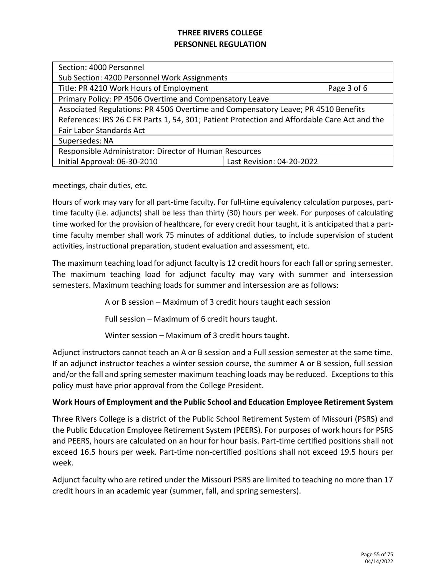| Section: 4000 Personnel                                                                      |                           |  |
|----------------------------------------------------------------------------------------------|---------------------------|--|
| Sub Section: 4200 Personnel Work Assignments                                                 |                           |  |
| Title: PR 4210 Work Hours of Employment<br>Page 3 of 6                                       |                           |  |
| Primary Policy: PP 4506 Overtime and Compensatory Leave                                      |                           |  |
| Associated Regulations: PR 4506 Overtime and Compensatory Leave; PR 4510 Benefits            |                           |  |
| References: IRS 26 C FR Parts 1, 54, 301; Patient Protection and Affordable Care Act and the |                           |  |
| Fair Labor Standards Act                                                                     |                           |  |
| Supersedes: NA                                                                               |                           |  |
| Responsible Administrator: Director of Human Resources                                       |                           |  |
| Initial Approval: 06-30-2010                                                                 | Last Revision: 04-20-2022 |  |
|                                                                                              |                           |  |

meetings, chair duties, etc.

Hours of work may vary for all part-time faculty. For full-time equivalency calculation purposes, parttime faculty (i.e. adjuncts) shall be less than thirty (30) hours per week. For purposes of calculating time worked for the provision of healthcare, for every credit hour taught, it is anticipated that a parttime faculty member shall work 75 minutes of additional duties, to include supervision of student activities, instructional preparation, student evaluation and assessment, etc.

The maximum teaching load for adjunct faculty is 12 credit hours for each fall or spring semester. The maximum teaching load for adjunct faculty may vary with summer and intersession semesters. Maximum teaching loads for summer and intersession are as follows:

A or B session – Maximum of 3 credit hours taught each session

Full session – Maximum of 6 credit hours taught.

Winter session – Maximum of 3 credit hours taught.

Adjunct instructors cannot teach an A or B session and a Full session semester at the same time. If an adjunct instructor teaches a winter session course, the summer A or B session, full session and/or the fall and spring semester maximum teaching loads may be reduced. Exceptions to this policy must have prior approval from the College President.

### **Work Hours of Employment and the Public School and Education Employee Retirement System**

Three Rivers College is a district of the Public School Retirement System of Missouri (PSRS) and the Public Education Employee Retirement System (PEERS). For purposes of work hours for PSRS and PEERS, hours are calculated on an hour for hour basis. Part-time certified positions shall not exceed 16.5 hours per week. Part-time non-certified positions shall not exceed 19.5 hours per week.

Adjunct faculty who are retired under the Missouri PSRS are limited to teaching no more than 17 credit hours in an academic year (summer, fall, and spring semesters).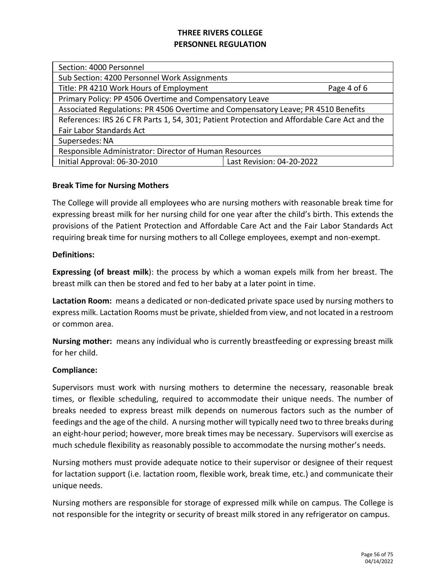| Section: 4000 Personnel                                                                      |                           |  |
|----------------------------------------------------------------------------------------------|---------------------------|--|
| Sub Section: 4200 Personnel Work Assignments                                                 |                           |  |
| Title: PR 4210 Work Hours of Employment                                                      | Page 4 of 6               |  |
| Primary Policy: PP 4506 Overtime and Compensatory Leave                                      |                           |  |
| Associated Regulations: PR 4506 Overtime and Compensatory Leave; PR 4510 Benefits            |                           |  |
| References: IRS 26 C FR Parts 1, 54, 301; Patient Protection and Affordable Care Act and the |                           |  |
| Fair Labor Standards Act                                                                     |                           |  |
| Supersedes: NA                                                                               |                           |  |
| Responsible Administrator: Director of Human Resources                                       |                           |  |
| Initial Approval: 06-30-2010                                                                 | Last Revision: 04-20-2022 |  |
|                                                                                              |                           |  |

### **Break Time for Nursing Mothers**

The College will provide all employees who are nursing mothers with reasonable break time for expressing breast milk for her nursing child for one year after the child's birth. This extends the provisions of the Patient Protection and Affordable Care Act and the Fair Labor Standards Act requiring break time for nursing mothers to all College employees, exempt and non-exempt.

#### **Definitions:**

**Expressing (of breast milk**): the process by which a woman expels milk from her breast. The breast milk can then be stored and fed to her baby at a later point in time.

**Lactation Room:** means a dedicated or non-dedicated private space used by nursing mothers to express milk. Lactation Rooms must be private, shielded from view, and not located in a restroom or common area.

**Nursing mother:** means any individual who is currently breastfeeding or expressing breast milk for her child.

#### **Compliance:**

Supervisors must work with nursing mothers to determine the necessary, reasonable break times, or flexible scheduling, required to accommodate their unique needs. The number of breaks needed to express breast milk depends on numerous factors such as the number of feedings and the age of the child. A nursing mother will typically need two to three breaks during an eight-hour period; however, more break times may be necessary. Supervisors will exercise as much schedule flexibility as reasonably possible to accommodate the nursing mother's needs.

Nursing mothers must provide adequate notice to their supervisor or designee of their request for lactation support (i.e. lactation room, flexible work, break time, etc.) and communicate their unique needs.

Nursing mothers are responsible for storage of expressed milk while on campus. The College is not responsible for the integrity or security of breast milk stored in any refrigerator on campus.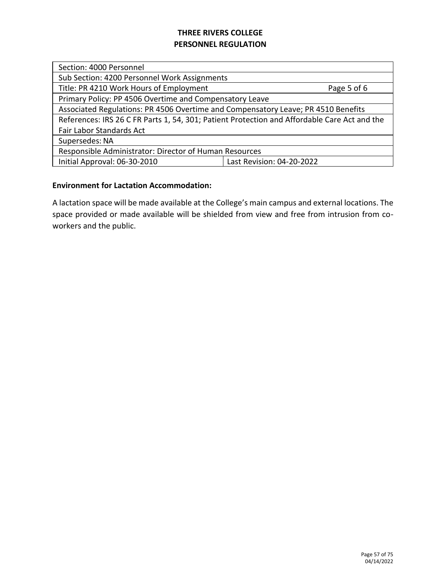| Section: 4000 Personnel                                                                      |  |  |
|----------------------------------------------------------------------------------------------|--|--|
| Sub Section: 4200 Personnel Work Assignments                                                 |  |  |
| Title: PR 4210 Work Hours of Employment<br>Page 5 of 6                                       |  |  |
| Primary Policy: PP 4506 Overtime and Compensatory Leave                                      |  |  |
| Associated Regulations: PR 4506 Overtime and Compensatory Leave; PR 4510 Benefits            |  |  |
| References: IRS 26 C FR Parts 1, 54, 301; Patient Protection and Affordable Care Act and the |  |  |
| Fair Labor Standards Act                                                                     |  |  |
| Supersedes: NA                                                                               |  |  |
| Responsible Administrator: Director of Human Resources                                       |  |  |
| Initial Approval: 06-30-2010<br>Last Revision: 04-20-2022                                    |  |  |
|                                                                                              |  |  |

### **Environment for Lactation Accommodation:**

A lactation space will be made available at the College's main campus and external locations. The space provided or made available will be shielded from view and free from intrusion from coworkers and the public.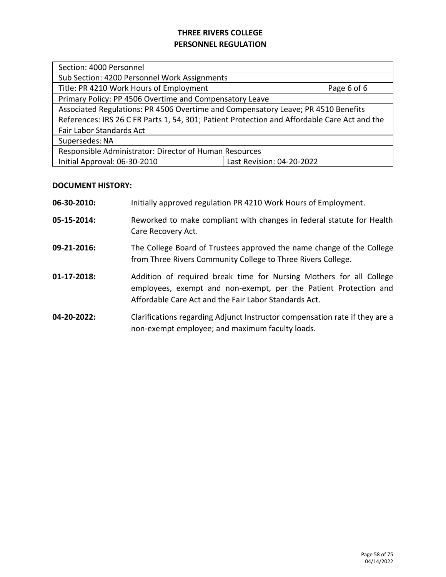| Section: 4000 Personnel                                                                      |             |  |
|----------------------------------------------------------------------------------------------|-------------|--|
| Sub Section: 4200 Personnel Work Assignments                                                 |             |  |
| Title: PR 4210 Work Hours of Employment                                                      | Page 6 of 6 |  |
| Primary Policy: PP 4506 Overtime and Compensatory Leave                                      |             |  |
| Associated Regulations: PR 4506 Overtime and Compensatory Leave; PR 4510 Benefits            |             |  |
| References: IRS 26 C FR Parts 1, 54, 301; Patient Protection and Affordable Care Act and the |             |  |
| Fair Labor Standards Act                                                                     |             |  |
| Supersedes: NA                                                                               |             |  |
| Responsible Administrator: Director of Human Resources                                       |             |  |
| Initial Approval: 06-30-2010<br>Last Revision: 04-20-2022                                    |             |  |
|                                                                                              |             |  |

## **DOCUMENT HISTORY:**

| 06-30-2010:    | Initially approved regulation PR 4210 Work Hours of Employment.                                                                                                                                  |
|----------------|--------------------------------------------------------------------------------------------------------------------------------------------------------------------------------------------------|
| 05-15-2014:    | Reworked to make compliant with changes in federal statute for Health<br>Care Recovery Act.                                                                                                      |
| 09-21-2016:    | The College Board of Trustees approved the name change of the College<br>from Three Rivers Community College to Three Rivers College.                                                            |
| $01-17-2018$ : | Addition of required break time for Nursing Mothers for all College<br>employees, exempt and non-exempt, per the Patient Protection and<br>Affordable Care Act and the Fair Labor Standards Act. |
| 04-20-2022:    | Clarifications regarding Adjunct Instructor compensation rate if they are a<br>non-exempt employee; and maximum faculty loads.                                                                   |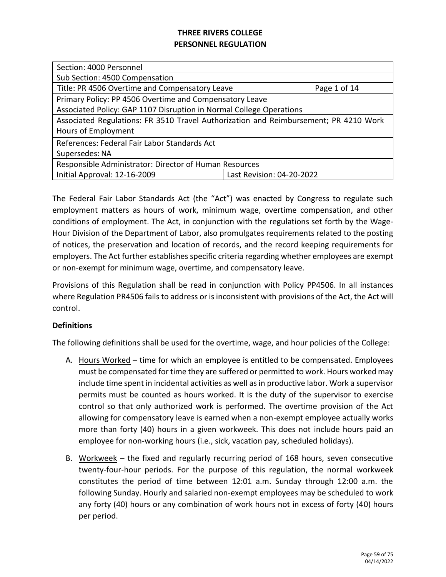| Section: 4000 Personnel                                                              |              |  |
|--------------------------------------------------------------------------------------|--------------|--|
| Sub Section: 4500 Compensation                                                       |              |  |
| Title: PR 4506 Overtime and Compensatory Leave                                       | Page 1 of 14 |  |
| Primary Policy: PP 4506 Overtime and Compensatory Leave                              |              |  |
| Associated Policy: GAP 1107 Disruption in Normal College Operations                  |              |  |
| Associated Regulations: FR 3510 Travel Authorization and Reimbursement; PR 4210 Work |              |  |
| Hours of Employment                                                                  |              |  |
| References: Federal Fair Labor Standards Act                                         |              |  |
| Supersedes: NA                                                                       |              |  |
| Responsible Administrator: Director of Human Resources                               |              |  |
| Initial Approval: 12-16-2009<br>Last Revision: 04-20-2022                            |              |  |
|                                                                                      |              |  |

The Federal Fair Labor Standards Act (the "Act") was enacted by Congress to regulate such employment matters as hours of work, minimum wage, overtime compensation, and other conditions of employment. The Act, in conjunction with the regulations set forth by the Wage-Hour Division of the Department of Labor, also promulgates requirements related to the posting of notices, the preservation and location of records, and the record keeping requirements for employers. The Act further establishes specific criteria regarding whether employees are exempt or non-exempt for minimum wage, overtime, and compensatory leave.

Provisions of this Regulation shall be read in conjunction with Policy PP4506. In all instances where Regulation PR4506 fails to address or is inconsistent with provisions of the Act, the Act will control.

### **Definitions**

The following definitions shall be used for the overtime, wage, and hour policies of the College:

- A. Hours Worked time for which an employee is entitled to be compensated. Employees must be compensated for time they are suffered or permitted to work. Hours worked may include time spent in incidental activities as well as in productive labor. Work a supervisor permits must be counted as hours worked. It is the duty of the supervisor to exercise control so that only authorized work is performed. The overtime provision of the Act allowing for compensatory leave is earned when a non-exempt employee actually works more than forty (40) hours in a given workweek. This does not include hours paid an employee for non-working hours (i.e., sick, vacation pay, scheduled holidays).
- B. Workweek the fixed and regularly recurring period of 168 hours, seven consecutive twenty-four-hour periods. For the purpose of this regulation, the normal workweek constitutes the period of time between 12:01 a.m. Sunday through 12:00 a.m. the following Sunday. Hourly and salaried non-exempt employees may be scheduled to work any forty (40) hours or any combination of work hours not in excess of forty (40) hours per period.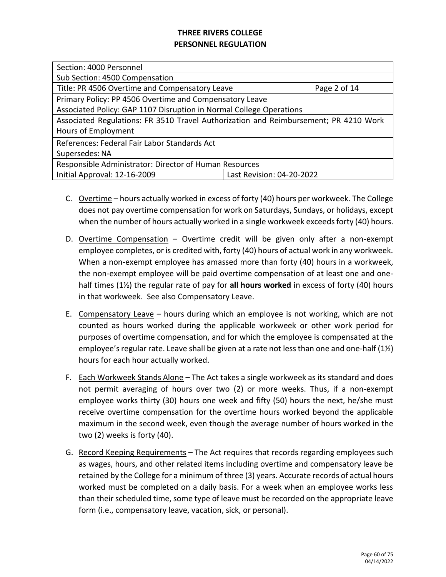| Section: 4000 Personnel                                                              |                           |  |
|--------------------------------------------------------------------------------------|---------------------------|--|
| Sub Section: 4500 Compensation                                                       |                           |  |
| Title: PR 4506 Overtime and Compensatory Leave                                       | Page 2 of 14              |  |
| Primary Policy: PP 4506 Overtime and Compensatory Leave                              |                           |  |
| Associated Policy: GAP 1107 Disruption in Normal College Operations                  |                           |  |
| Associated Regulations: FR 3510 Travel Authorization and Reimbursement; PR 4210 Work |                           |  |
| Hours of Employment                                                                  |                           |  |
| References: Federal Fair Labor Standards Act                                         |                           |  |
| Supersedes: NA                                                                       |                           |  |
| Responsible Administrator: Director of Human Resources                               |                           |  |
| Initial Approval: 12-16-2009                                                         | Last Revision: 04-20-2022 |  |
|                                                                                      |                           |  |

- C. Overtime hours actually worked in excess of forty (40) hours per workweek. The College does not pay overtime compensation for work on Saturdays, Sundays, or holidays, except when the number of hours actually worked in a single workweek exceeds forty (40) hours.
- D. Overtime Compensation Overtime credit will be given only after a non-exempt employee completes, or is credited with, forty (40) hours of actual work in any workweek. When a non-exempt employee has amassed more than forty (40) hours in a workweek, the non-exempt employee will be paid overtime compensation of at least one and onehalf times (1½) the regular rate of pay for **all hours worked** in excess of forty (40) hours in that workweek. See also Compensatory Leave.
- E. Compensatory Leave hours during which an employee is not working, which are not counted as hours worked during the applicable workweek or other work period for purposes of overtime compensation, and for which the employee is compensated at the employee's regular rate. Leave shall be given at a rate not less than one and one-half (1½) hours for each hour actually worked.
- F. Each Workweek Stands Alone The Act takes a single workweek as its standard and does not permit averaging of hours over two (2) or more weeks. Thus, if a non-exempt employee works thirty (30) hours one week and fifty (50) hours the next, he/she must receive overtime compensation for the overtime hours worked beyond the applicable maximum in the second week, even though the average number of hours worked in the two (2) weeks is forty (40).
- G. Record Keeping Requirements The Act requires that records regarding employees such as wages, hours, and other related items including overtime and compensatory leave be retained by the College for a minimum of three (3) years. Accurate records of actual hours worked must be completed on a daily basis. For a week when an employee works less than their scheduled time, some type of leave must be recorded on the appropriate leave form (i.e., compensatory leave, vacation, sick, or personal).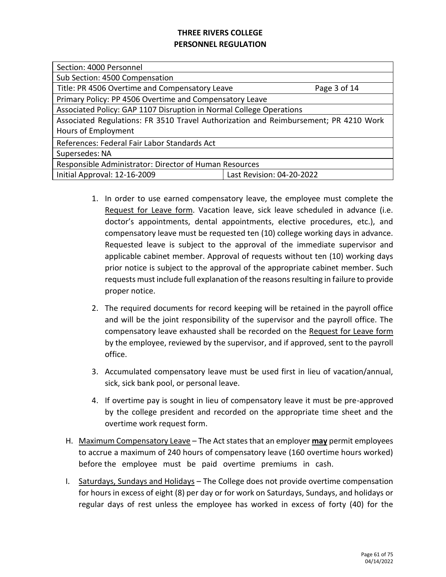| Section: 4000 Personnel                                                              |                           |  |
|--------------------------------------------------------------------------------------|---------------------------|--|
| Sub Section: 4500 Compensation                                                       |                           |  |
| Title: PR 4506 Overtime and Compensatory Leave                                       | Page 3 of 14              |  |
| Primary Policy: PP 4506 Overtime and Compensatory Leave                              |                           |  |
| Associated Policy: GAP 1107 Disruption in Normal College Operations                  |                           |  |
| Associated Regulations: FR 3510 Travel Authorization and Reimbursement; PR 4210 Work |                           |  |
| Hours of Employment                                                                  |                           |  |
| References: Federal Fair Labor Standards Act                                         |                           |  |
| Supersedes: NA                                                                       |                           |  |
| Responsible Administrator: Director of Human Resources                               |                           |  |
| Initial Approval: 12-16-2009                                                         | Last Revision: 04-20-2022 |  |
|                                                                                      |                           |  |

- 1. In order to use earned compensatory leave, the employee must complete the Request for Leave form. Vacation leave, sick leave scheduled in advance (i.e. doctor's appointments, dental appointments, elective procedures, etc.), and compensatory leave must be requested ten (10) college working days in advance. Requested leave is subject to the approval of the immediate supervisor and applicable cabinet member. Approval of requests without ten (10) working days prior notice is subject to the approval of the appropriate cabinet member. Such requests must include full explanation of the reasons resulting in failure to provide proper notice.
- 2. The required documents for record keeping will be retained in the payroll office and will be the joint responsibility of the supervisor and the payroll office. The compensatory leave exhausted shall be recorded on the Request for Leave form by the employee, reviewed by the supervisor, and if approved, sent to the payroll office.
- 3. Accumulated compensatory leave must be used first in lieu of vacation/annual, sick, sick bank pool, or personal leave.
- 4. If overtime pay is sought in lieu of compensatory leave it must be pre-approved by the college president and recorded on the appropriate time sheet and the overtime work request form.
- H. Maximum Compensatory Leave The Act states that an employer **may** permit employees to accrue a maximum of 240 hours of compensatory leave (160 overtime hours worked) before the employee must be paid overtime premiums in cash.
- I. Saturdays, Sundays and Holidays The College does not provide overtime compensation for hours in excess of eight (8) per day or for work on Saturdays, Sundays, and holidays or regular days of rest unless the employee has worked in excess of forty (40) for the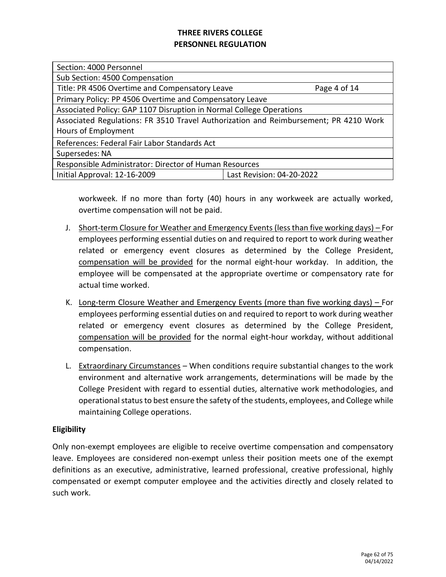| Section: 4000 Personnel                                                              |                           |  |
|--------------------------------------------------------------------------------------|---------------------------|--|
| Sub Section: 4500 Compensation                                                       |                           |  |
| Title: PR 4506 Overtime and Compensatory Leave                                       | Page 4 of 14              |  |
| Primary Policy: PP 4506 Overtime and Compensatory Leave                              |                           |  |
| Associated Policy: GAP 1107 Disruption in Normal College Operations                  |                           |  |
| Associated Regulations: FR 3510 Travel Authorization and Reimbursement; PR 4210 Work |                           |  |
| Hours of Employment                                                                  |                           |  |
| References: Federal Fair Labor Standards Act                                         |                           |  |
| Supersedes: NA                                                                       |                           |  |
| Responsible Administrator: Director of Human Resources                               |                           |  |
| Initial Approval: 12-16-2009                                                         | Last Revision: 04-20-2022 |  |
|                                                                                      |                           |  |

workweek. If no more than forty (40) hours in any workweek are actually worked, overtime compensation will not be paid.

- J. Short-term Closure for Weather and Emergency Events (less than five working days) For employees performing essential duties on and required to report to work during weather related or emergency event closures as determined by the College President, compensation will be provided for the normal eight-hour workday. In addition, the employee will be compensated at the appropriate overtime or compensatory rate for actual time worked.
- K. Long-term Closure Weather and Emergency Events (more than five working days) For employees performing essential duties on and required to report to work during weather related or emergency event closures as determined by the College President, compensation will be provided for the normal eight-hour workday, without additional compensation.
- L. Extraordinary Circumstances When conditions require substantial changes to the work environment and alternative work arrangements, determinations will be made by the College President with regard to essential duties, alternative work methodologies, and operational status to best ensure the safety of the students, employees, and College while maintaining College operations.

### **Eligibility**

Only non-exempt employees are eligible to receive overtime compensation and compensatory leave. Employees are considered non-exempt unless their position meets one of the exempt definitions as an executive, administrative, learned professional, creative professional, highly compensated or exempt computer employee and the activities directly and closely related to such work.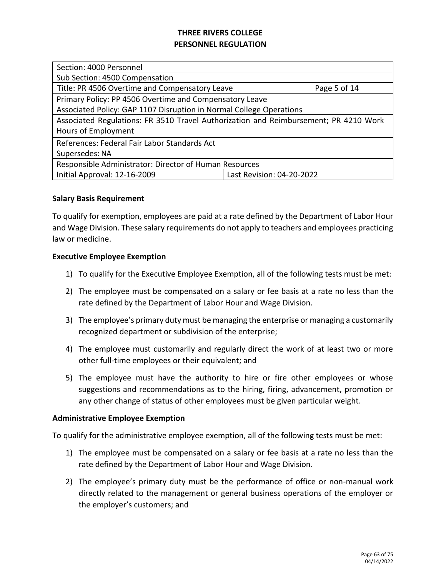| Section: 4000 Personnel                                                              |                           |  |
|--------------------------------------------------------------------------------------|---------------------------|--|
| Sub Section: 4500 Compensation                                                       |                           |  |
| Title: PR 4506 Overtime and Compensatory Leave                                       | Page 5 of 14              |  |
| Primary Policy: PP 4506 Overtime and Compensatory Leave                              |                           |  |
| Associated Policy: GAP 1107 Disruption in Normal College Operations                  |                           |  |
| Associated Regulations: FR 3510 Travel Authorization and Reimbursement; PR 4210 Work |                           |  |
| Hours of Employment                                                                  |                           |  |
| References: Federal Fair Labor Standards Act                                         |                           |  |
| Supersedes: NA                                                                       |                           |  |
| Responsible Administrator: Director of Human Resources                               |                           |  |
| Initial Approval: 12-16-2009                                                         | Last Revision: 04-20-2022 |  |
|                                                                                      |                           |  |

### **Salary Basis Requirement**

To qualify for exemption, employees are paid at a rate defined by the Department of Labor Hour and Wage Division. These salary requirements do not apply to teachers and employees practicing law or medicine.

#### **Executive Employee Exemption**

- 1) To qualify for the Executive Employee Exemption, all of the following tests must be met:
- 2) The employee must be compensated on a salary or fee basis at a rate no less than the rate defined by the Department of Labor Hour and Wage Division.
- 3) The employee's primary duty must be managing the enterprise or managing a customarily recognized department or subdivision of the enterprise;
- 4) The employee must customarily and regularly direct the work of at least two or more other full-time employees or their equivalent; and
- 5) The employee must have the authority to hire or fire other employees or whose suggestions and recommendations as to the hiring, firing, advancement, promotion or any other change of status of other employees must be given particular weight.

#### **Administrative Employee Exemption**

To qualify for the administrative employee exemption, all of the following tests must be met:

- 1) The employee must be compensated on a salary or fee basis at a rate no less than the rate defined by the Department of Labor Hour and Wage Division.
- 2) The employee's primary duty must be the performance of office or non-manual work directly related to the management or general business operations of the employer or the employer's customers; and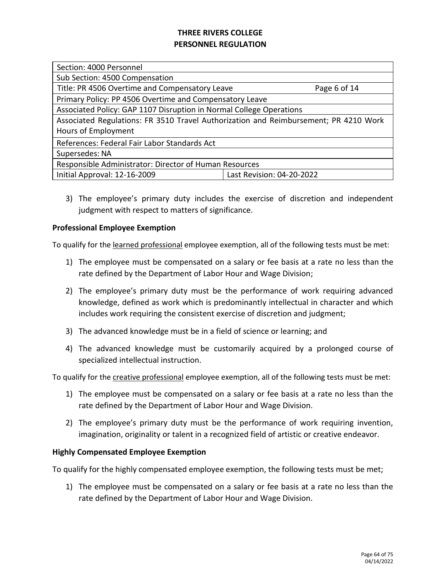| Section: 4000 Personnel                                                              |                           |  |
|--------------------------------------------------------------------------------------|---------------------------|--|
| Sub Section: 4500 Compensation                                                       |                           |  |
| Title: PR 4506 Overtime and Compensatory Leave                                       | Page 6 of 14              |  |
| Primary Policy: PP 4506 Overtime and Compensatory Leave                              |                           |  |
| Associated Policy: GAP 1107 Disruption in Normal College Operations                  |                           |  |
| Associated Regulations: FR 3510 Travel Authorization and Reimbursement; PR 4210 Work |                           |  |
| Hours of Employment                                                                  |                           |  |
| References: Federal Fair Labor Standards Act                                         |                           |  |
| Supersedes: NA                                                                       |                           |  |
| Responsible Administrator: Director of Human Resources                               |                           |  |
| Initial Approval: 12-16-2009                                                         | Last Revision: 04-20-2022 |  |
|                                                                                      |                           |  |

3) The employee's primary duty includes the exercise of discretion and independent judgment with respect to matters of significance.

### **Professional Employee Exemption**

To qualify for the learned professional employee exemption, all of the following tests must be met:

- 1) The employee must be compensated on a salary or fee basis at a rate no less than the rate defined by the Department of Labor Hour and Wage Division;
- 2) The employee's primary duty must be the performance of work requiring advanced knowledge, defined as work which is predominantly intellectual in character and which includes work requiring the consistent exercise of discretion and judgment;
- 3) The advanced knowledge must be in a field of science or learning; and
- 4) The advanced knowledge must be customarily acquired by a prolonged course of specialized intellectual instruction.

To qualify for the creative professional employee exemption, all of the following tests must be met:

- 1) The employee must be compensated on a salary or fee basis at a rate no less than the rate defined by the Department of Labor Hour and Wage Division.
- 2) The employee's primary duty must be the performance of work requiring invention, imagination, originality or talent in a recognized field of artistic or creative endeavor.

### **Highly Compensated Employee Exemption**

To qualify for the highly compensated employee exemption, the following tests must be met;

1) The employee must be compensated on a salary or fee basis at a rate no less than the rate defined by the Department of Labor Hour and Wage Division.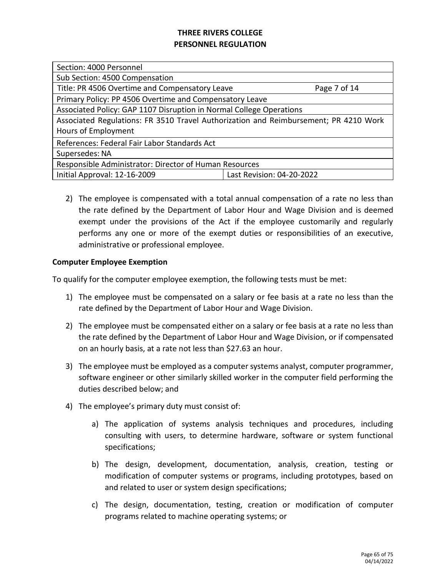| Section: 4000 Personnel                                                              |                           |  |
|--------------------------------------------------------------------------------------|---------------------------|--|
| Sub Section: 4500 Compensation                                                       |                           |  |
| Title: PR 4506 Overtime and Compensatory Leave                                       | Page 7 of 14              |  |
| Primary Policy: PP 4506 Overtime and Compensatory Leave                              |                           |  |
| Associated Policy: GAP 1107 Disruption in Normal College Operations                  |                           |  |
| Associated Regulations: FR 3510 Travel Authorization and Reimbursement; PR 4210 Work |                           |  |
| Hours of Employment                                                                  |                           |  |
| References: Federal Fair Labor Standards Act                                         |                           |  |
| Supersedes: NA                                                                       |                           |  |
| Responsible Administrator: Director of Human Resources                               |                           |  |
| Initial Approval: 12-16-2009                                                         | Last Revision: 04-20-2022 |  |
|                                                                                      |                           |  |

2) The employee is compensated with a total annual compensation of a rate no less than the rate defined by the Department of Labor Hour and Wage Division and is deemed exempt under the provisions of the Act if the employee customarily and regularly performs any one or more of the exempt duties or responsibilities of an executive, administrative or professional employee.

### **Computer Employee Exemption**

To qualify for the computer employee exemption, the following tests must be met:

- 1) The employee must be compensated on a salary or fee basis at a rate no less than the rate defined by the Department of Labor Hour and Wage Division.
- 2) The employee must be compensated either on a salary or fee basis at a rate no less than the rate defined by the Department of Labor Hour and Wage Division, or if compensated on an hourly basis, at a rate not less than \$27.63 an hour.
- 3) The employee must be employed as a computer systems analyst, computer programmer, software engineer or other similarly skilled worker in the computer field performing the duties described below; and
- 4) The employee's primary duty must consist of:
	- a) The application of systems analysis techniques and procedures, including consulting with users, to determine hardware, software or system functional specifications;
	- b) The design, development, documentation, analysis, creation, testing or modification of computer systems or programs, including prototypes, based on and related to user or system design specifications;
	- c) The design, documentation, testing, creation or modification of computer programs related to machine operating systems; or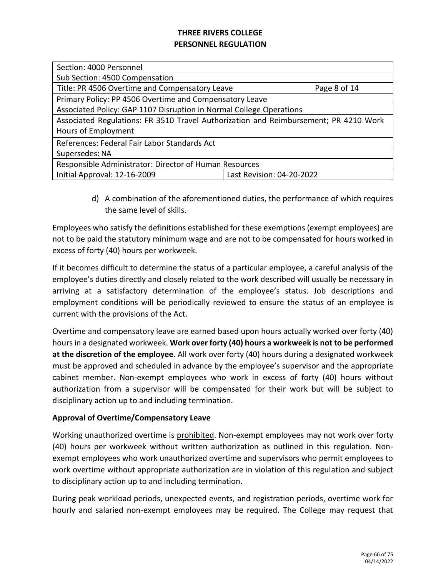| Section: 4000 Personnel                                                              |                           |  |
|--------------------------------------------------------------------------------------|---------------------------|--|
| Sub Section: 4500 Compensation                                                       |                           |  |
| Title: PR 4506 Overtime and Compensatory Leave                                       | Page 8 of 14              |  |
| Primary Policy: PP 4506 Overtime and Compensatory Leave                              |                           |  |
| Associated Policy: GAP 1107 Disruption in Normal College Operations                  |                           |  |
| Associated Regulations: FR 3510 Travel Authorization and Reimbursement; PR 4210 Work |                           |  |
| Hours of Employment                                                                  |                           |  |
| References: Federal Fair Labor Standards Act                                         |                           |  |
| Supersedes: NA                                                                       |                           |  |
| Responsible Administrator: Director of Human Resources                               |                           |  |
| Initial Approval: 12-16-2009                                                         | Last Revision: 04-20-2022 |  |
|                                                                                      |                           |  |

d) A combination of the aforementioned duties, the performance of which requires the same level of skills.

Employees who satisfy the definitions established for these exemptions (exempt employees) are not to be paid the statutory minimum wage and are not to be compensated for hours worked in excess of forty (40) hours per workweek.

If it becomes difficult to determine the status of a particular employee, a careful analysis of the employee's duties directly and closely related to the work described will usually be necessary in arriving at a satisfactory determination of the employee's status. Job descriptions and employment conditions will be periodically reviewed to ensure the status of an employee is current with the provisions of the Act.

Overtime and compensatory leave are earned based upon hours actually worked over forty (40) hours in a designated workweek. **Work over forty (40) hours a workweek is not to be performed at the discretion of the employee**. All work over forty (40) hours during a designated workweek must be approved and scheduled in advance by the employee's supervisor and the appropriate cabinet member. Non-exempt employees who work in excess of forty (40) hours without authorization from a supervisor will be compensated for their work but will be subject to disciplinary action up to and including termination.

### **Approval of Overtime/Compensatory Leave**

Working unauthorized overtime is prohibited. Non-exempt employees may not work over forty (40) hours per workweek without written authorization as outlined in this regulation. Nonexempt employees who work unauthorized overtime and supervisors who permit employees to work overtime without appropriate authorization are in violation of this regulation and subject to disciplinary action up to and including termination.

During peak workload periods, unexpected events, and registration periods, overtime work for hourly and salaried non-exempt employees may be required. The College may request that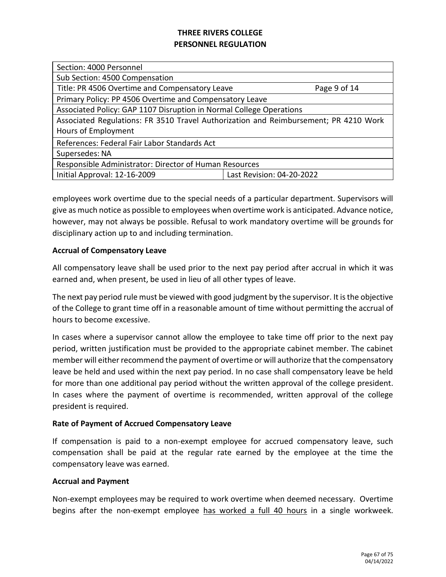| Section: 4000 Personnel                                                              |                           |  |
|--------------------------------------------------------------------------------------|---------------------------|--|
| Sub Section: 4500 Compensation                                                       |                           |  |
| Title: PR 4506 Overtime and Compensatory Leave                                       | Page 9 of 14              |  |
| Primary Policy: PP 4506 Overtime and Compensatory Leave                              |                           |  |
| Associated Policy: GAP 1107 Disruption in Normal College Operations                  |                           |  |
| Associated Regulations: FR 3510 Travel Authorization and Reimbursement; PR 4210 Work |                           |  |
| Hours of Employment                                                                  |                           |  |
| References: Federal Fair Labor Standards Act                                         |                           |  |
| Supersedes: NA                                                                       |                           |  |
| Responsible Administrator: Director of Human Resources                               |                           |  |
| Initial Approval: 12-16-2009                                                         | Last Revision: 04-20-2022 |  |
|                                                                                      |                           |  |

employees work overtime due to the special needs of a particular department. Supervisors will give as much notice as possible to employees when overtime work is anticipated. Advance notice, however, may not always be possible. Refusal to work mandatory overtime will be grounds for disciplinary action up to and including termination.

### **Accrual of Compensatory Leave**

All compensatory leave shall be used prior to the next pay period after accrual in which it was earned and, when present, be used in lieu of all other types of leave.

The next pay period rule must be viewed with good judgment by the supervisor. It is the objective of the College to grant time off in a reasonable amount of time without permitting the accrual of hours to become excessive.

In cases where a supervisor cannot allow the employee to take time off prior to the next pay period, written justification must be provided to the appropriate cabinet member. The cabinet member will either recommend the payment of overtime or will authorize that the compensatory leave be held and used within the next pay period. In no case shall compensatory leave be held for more than one additional pay period without the written approval of the college president. In cases where the payment of overtime is recommended, written approval of the college president is required.

### **Rate of Payment of Accrued Compensatory Leave**

If compensation is paid to a non-exempt employee for accrued compensatory leave, such compensation shall be paid at the regular rate earned by the employee at the time the compensatory leave was earned.

### **Accrual and Payment**

Non-exempt employees may be required to work overtime when deemed necessary. Overtime begins after the non-exempt employee has worked a full 40 hours in a single workweek.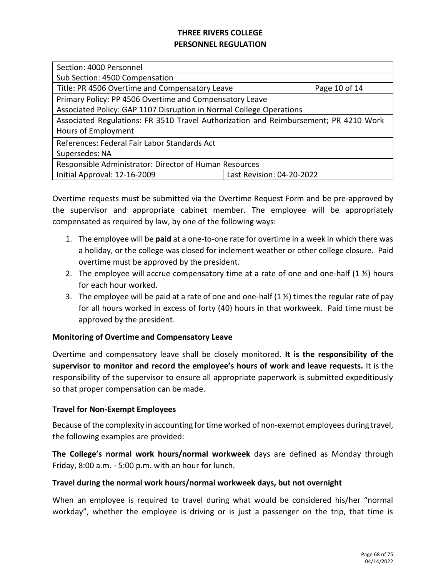| Section: 4000 Personnel                                                              |                           |  |
|--------------------------------------------------------------------------------------|---------------------------|--|
| Sub Section: 4500 Compensation                                                       |                           |  |
| Title: PR 4506 Overtime and Compensatory Leave                                       | Page 10 of 14             |  |
| Primary Policy: PP 4506 Overtime and Compensatory Leave                              |                           |  |
| Associated Policy: GAP 1107 Disruption in Normal College Operations                  |                           |  |
| Associated Regulations: FR 3510 Travel Authorization and Reimbursement; PR 4210 Work |                           |  |
| Hours of Employment                                                                  |                           |  |
| References: Federal Fair Labor Standards Act                                         |                           |  |
| Supersedes: NA                                                                       |                           |  |
| Responsible Administrator: Director of Human Resources                               |                           |  |
| Initial Approval: 12-16-2009                                                         | Last Revision: 04-20-2022 |  |
|                                                                                      |                           |  |

Overtime requests must be submitted via the Overtime Request Form and be pre-approved by the supervisor and appropriate cabinet member. The employee will be appropriately compensated as required by law, by one of the following ways:

- 1. The employee will be **paid** at a one-to-one rate for overtime in a week in which there was a holiday, or the college was closed for inclement weather or other college closure. Paid overtime must be approved by the president.
- 2. The employee will accrue compensatory time at a rate of one and one-half  $(1 \frac{1}{2})$  hours for each hour worked.
- 3. The employee will be paid at a rate of one and one-half  $(1 \frac{1}{2})$  times the regular rate of pay for all hours worked in excess of forty (40) hours in that workweek. Paid time must be approved by the president.

### **Monitoring of Overtime and Compensatory Leave**

Overtime and compensatory leave shall be closely monitored. **It is the responsibility of the supervisor to monitor and record the employee's hours of work and leave requests.** It is the responsibility of the supervisor to ensure all appropriate paperwork is submitted expeditiously so that proper compensation can be made.

### **Travel for Non-Exempt Employees**

Because of the complexity in accounting for time worked of non-exempt employees during travel, the following examples are provided:

**The College's normal work hours/normal workweek** days are defined as Monday through Friday, 8:00 a.m. - 5:00 p.m. with an hour for lunch.

### **Travel during the normal work hours/normal workweek days, but not overnight**

When an employee is required to travel during what would be considered his/her "normal workday", whether the employee is driving or is just a passenger on the trip, that time is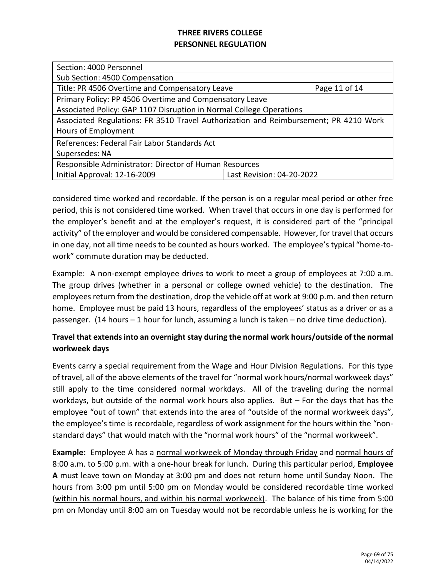| Section: 4000 Personnel                                                              |                           |  |
|--------------------------------------------------------------------------------------|---------------------------|--|
| Sub Section: 4500 Compensation                                                       |                           |  |
| Title: PR 4506 Overtime and Compensatory Leave                                       | Page 11 of 14             |  |
| Primary Policy: PP 4506 Overtime and Compensatory Leave                              |                           |  |
| Associated Policy: GAP 1107 Disruption in Normal College Operations                  |                           |  |
| Associated Regulations: FR 3510 Travel Authorization and Reimbursement; PR 4210 Work |                           |  |
| Hours of Employment                                                                  |                           |  |
| References: Federal Fair Labor Standards Act                                         |                           |  |
| Supersedes: NA                                                                       |                           |  |
| Responsible Administrator: Director of Human Resources                               |                           |  |
| Initial Approval: 12-16-2009                                                         | Last Revision: 04-20-2022 |  |
|                                                                                      |                           |  |

considered time worked and recordable. If the person is on a regular meal period or other free period, this is not considered time worked. When travel that occurs in one day is performed for the employer's benefit and at the employer's request, it is considered part of the "principal activity" of the employer and would be considered compensable. However, for travel that occurs in one day, not all time needs to be counted as hours worked. The employee's typical "home-towork" commute duration may be deducted.

Example: A non-exempt employee drives to work to meet a group of employees at 7:00 a.m. The group drives (whether in a personal or college owned vehicle) to the destination. The employees return from the destination, drop the vehicle off at work at 9:00 p.m. and then return home. Employee must be paid 13 hours, regardless of the employees' status as a driver or as a passenger. (14 hours – 1 hour for lunch, assuming a lunch is taken – no drive time deduction).

## **Travel that extends into an overnight stay during the normal work hours/outside of the normal workweek days**

Events carry a special requirement from the Wage and Hour Division Regulations. For this type of travel, all of the above elements of the travel for "normal work hours/normal workweek days" still apply to the time considered normal workdays. All of the traveling during the normal workdays, but outside of the normal work hours also applies. But – For the days that has the employee "out of town" that extends into the area of "outside of the normal workweek days", the employee's time is recordable, regardless of work assignment for the hours within the "nonstandard days" that would match with the "normal work hours" of the "normal workweek".

**Example:** Employee A has a normal workweek of Monday through Friday and normal hours of 8:00 a.m. to 5:00 p.m. with a one-hour break for lunch. During this particular period, **Employee A** must leave town on Monday at 3:00 pm and does not return home until Sunday Noon. The hours from 3:00 pm until 5:00 pm on Monday would be considered recordable time worked (within his normal hours, and within his normal workweek). The balance of his time from 5:00 pm on Monday until 8:00 am on Tuesday would not be recordable unless he is working for the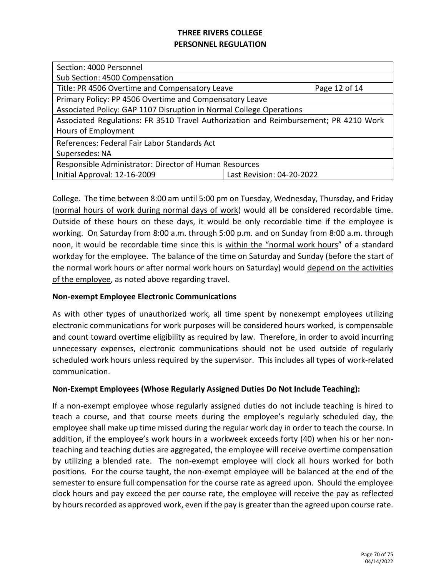| Section: 4000 Personnel                                                              |                           |  |
|--------------------------------------------------------------------------------------|---------------------------|--|
| Sub Section: 4500 Compensation                                                       |                           |  |
| Title: PR 4506 Overtime and Compensatory Leave<br>Page 12 of 14                      |                           |  |
| Primary Policy: PP 4506 Overtime and Compensatory Leave                              |                           |  |
| Associated Policy: GAP 1107 Disruption in Normal College Operations                  |                           |  |
| Associated Regulations: FR 3510 Travel Authorization and Reimbursement; PR 4210 Work |                           |  |
| Hours of Employment                                                                  |                           |  |
| References: Federal Fair Labor Standards Act                                         |                           |  |
| Supersedes: NA                                                                       |                           |  |
| Responsible Administrator: Director of Human Resources                               |                           |  |
| Initial Approval: 12-16-2009                                                         | Last Revision: 04-20-2022 |  |
|                                                                                      |                           |  |

College. The time between 8:00 am until 5:00 pm on Tuesday, Wednesday, Thursday, and Friday (normal hours of work during normal days of work) would all be considered recordable time. Outside of these hours on these days, it would be only recordable time if the employee is working. On Saturday from 8:00 a.m. through 5:00 p.m. and on Sunday from 8:00 a.m. through noon, it would be recordable time since this is within the "normal work hours" of a standard workday for the employee. The balance of the time on Saturday and Sunday (before the start of the normal work hours or after normal work hours on Saturday) would depend on the activities of the employee, as noted above regarding travel.

### **Non-exempt Employee Electronic Communications**

As with other types of unauthorized work, all time spent by nonexempt employees utilizing electronic communications for work purposes will be considered hours worked, is compensable and count toward overtime eligibility as required by law. Therefore, in order to avoid incurring unnecessary expenses, electronic communications should not be used outside of regularly scheduled work hours unless required by the supervisor. This includes all types of work-related communication.

### **Non-Exempt Employees (Whose Regularly Assigned Duties Do Not Include Teaching):**

If a non-exempt employee whose regularly assigned duties do not include teaching is hired to teach a course, and that course meets during the employee's regularly scheduled day, the employee shall make up time missed during the regular work day in order to teach the course. In addition, if the employee's work hours in a workweek exceeds forty (40) when his or her nonteaching and teaching duties are aggregated, the employee will receive overtime compensation by utilizing a blended rate. The non-exempt employee will clock all hours worked for both positions. For the course taught, the non-exempt employee will be balanced at the end of the semester to ensure full compensation for the course rate as agreed upon. Should the employee clock hours and pay exceed the per course rate, the employee will receive the pay as reflected by hours recorded as approved work, even if the pay is greater than the agreed upon course rate.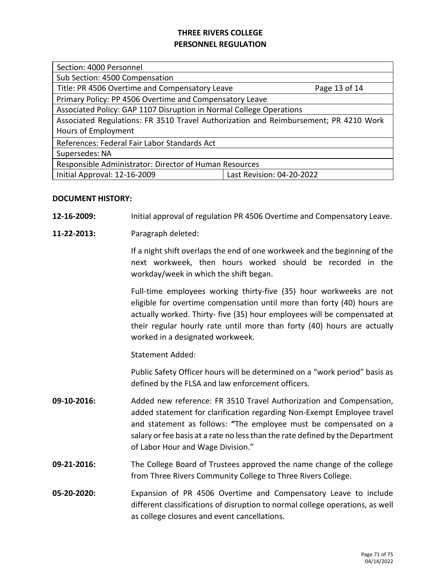| Section: 4000 Personnel                                                              |                           |  |
|--------------------------------------------------------------------------------------|---------------------------|--|
| Sub Section: 4500 Compensation                                                       |                           |  |
| Title: PR 4506 Overtime and Compensatory Leave                                       | Page 13 of 14             |  |
| Primary Policy: PP 4506 Overtime and Compensatory Leave                              |                           |  |
| Associated Policy: GAP 1107 Disruption in Normal College Operations                  |                           |  |
| Associated Regulations: FR 3510 Travel Authorization and Reimbursement; PR 4210 Work |                           |  |
| Hours of Employment                                                                  |                           |  |
| References: Federal Fair Labor Standards Act                                         |                           |  |
| Supersedes: NA                                                                       |                           |  |
| Responsible Administrator: Director of Human Resources                               |                           |  |
| Initial Approval: 12-16-2009                                                         | Last Revision: 04-20-2022 |  |

### **DOCUMENT HISTORY:**

- **12-16-2009:** Initial approval of regulation PR 4506 Overtime and Compensatory Leave.
- **11-22-2013:** Paragraph deleted:

If a night shift overlaps the end of one workweek and the beginning of the next workweek, then hours worked should be recorded in the workday/week in which the shift began.

Full-time employees working thirty-five (35) hour workweeks are not eligible for overtime compensation until more than forty (40) hours are actually worked. Thirty- five (35) hour employees will be compensated at their regular hourly rate until more than forty (40) hours are actually worked in a designated workweek.

Statement Added:

Public Safety Officer hours will be determined on a "work period" basis as defined by the FLSA and law enforcement officers.

- **09-10-2016:** Added new reference: FR 3510 Travel Authorization and Compensation, added statement for clarification regarding Non-Exempt Employee travel and statement as follows: **"**The employee must be compensated on a salary or fee basis at a rate no less than the rate defined by the Department of Labor Hour and Wage Division."
- **09-21-2016:** The College Board of Trustees approved the name change of the college from Three Rivers Community College to Three Rivers College.
- **05-20-2020:** Expansion of PR 4506 Overtime and Compensatory Leave to include different classifications of disruption to normal college operations, as well as college closures and event cancellations.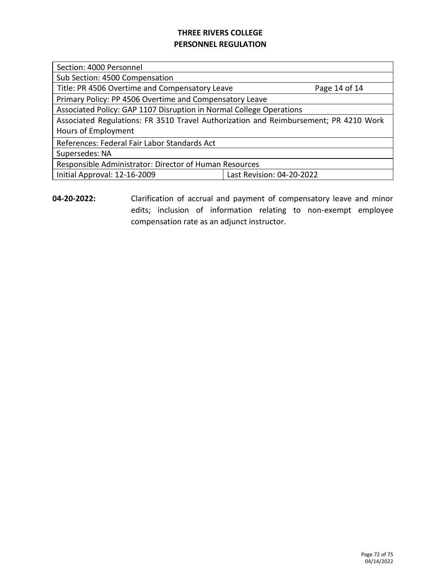Section: 4000 Personnel

Sub Section: 4500 Compensation

Title: PR 4506 Overtime and Compensatory Leave Page 14 of 14

Primary Policy: PP 4506 Overtime and Compensatory Leave

Associated Policy: GAP 1107 Disruption in Normal College Operations

Associated Regulations: FR 3510 Travel Authorization and Reimbursement; PR 4210 Work Hours of Employment

References: Federal Fair Labor Standards Act

Supersedes: NA

Responsible Administrator: Director of Human Resources

Initial Approval: 12-16-2009 Last Revision: 04-20-2022

**04-20-2022:** Clarification of accrual and payment of compensatory leave and minor edits; inclusion of information relating to non-exempt employee compensation rate as an adjunct instructor.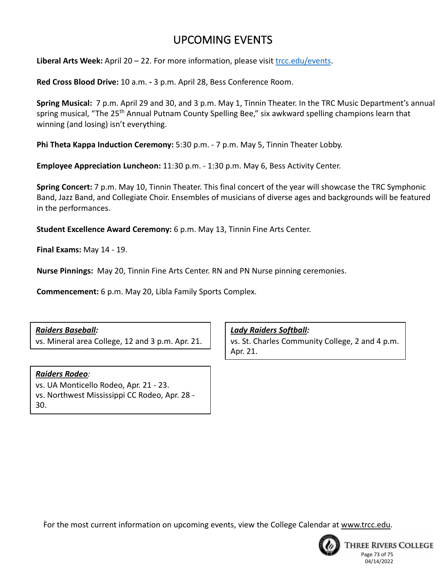# UPCOMING EVENTS

**Liberal Arts Week:** April 20 – 22. For more information, please visit [trcc.edu/events.](http://trcc.edu/events)

**Red Cross Blood Drive:** 10 a.m. **-** 3 p.m. April 28, Bess Conference Room.

**Spring Musical:** 7 p.m. April 29 and 30, and 3 p.m. May 1, Tinnin Theater. In the TRC Music Department's annual spring musical, "The 25<sup>th</sup> Annual Putnam County Spelling Bee," six awkward spelling champions learn that winning (and losing) isn't everything.

**Phi Theta Kappa Induction Ceremony:** 5:30 p.m. - 7 p.m. May 5, Tinnin Theater Lobby.

**Employee Appreciation Luncheon:** 11:30 p.m. - 1:30 p.m. May 6, Bess Activity Center.

**Spring Concert:** 7 p.m. May 10, Tinnin Theater. This final concert of the year will showcase the TRC Symphonic Band, Jazz Band, and Collegiate Choir. Ensembles of musicians of diverse ages and backgrounds will be featured in the performances.

**Student Excellence Award Ceremony:** 6 p.m. May 13, Tinnin Fine Arts Center.

**Final Exams:** May 14 - 19.

**Nurse Pinnings:** May 20, Tinnin Fine Arts Center. RN and PN Nurse pinning ceremonies.

**Commencement:** 6 p.m. May 20, Libla Family Sports Complex.

# *Raiders Baseball:*

vs. Mineral area College, 12 and 3 p.m. Apr. 21.

### *Raiders Rodeo:*

vs. UA Monticello Rodeo, Apr. 21 - 23. vs. Northwest Mississippi CC Rodeo, Apr. 28 - 30.

*Lady Raiders Softball:* vs. St. Charles Community College, 2 and 4 p.m. Apr. 21.

For the most current information on upcoming events, view the College Calendar at www.trcc.edu.



**THREE RIVERS COLLEGE** Page 73 of 75 04/14/2022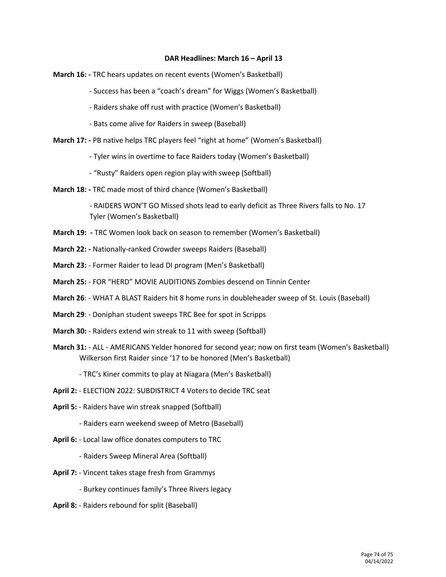#### **DAR Headlines: March 16 – April 13**

- **March 16: -** TRC hears updates on recent events (Women's Basketball)
	- Success has been a "coach's dream" for Wiggs (Women's Basketball)
	- Raiders shake off rust with practice (Women's Basketball)
	- Bats come alive for Raiders in sweep (Baseball)
- **March 17: -** PB native helps TRC players feel "right at home" (Women's Basketball)
	- Tyler wins in overtime to face Raiders today (Women's Basketball)
	- "Rusty" Raiders open region play with sweep (Softball)
- **March 18: -** TRC made most of third chance (Women's Basketball)

- RAIDERS WON'T GO Missed shots lead to early deficit as Three Rivers falls to No. 17 Tyler (Women's Basketball)

- **March 19: -** TRC Women look back on season to remember (Women's Basketball)
- **March 22: -** Nationally-ranked Crowder sweeps Raiders (Baseball)
- **March 23:**  Former Raider to lead DI program (Men's Basketball)
- **March 25:** FOR "HERD" MOVIE AUDITIONS Zombies descend on Tinnin Center
- **March 26**: WHAT A BLAST Raiders hit 8 home runs in doubleheader sweep of St. Louis (Baseball)
- **March 29**: Doniphan student sweeps TRC Bee for spot in Scripps
- **March 30:** Raiders extend win streak to 11 with sweep (Softball)
- **March 31:** ALL AMERICANS Yelder honored for second year; now on first team (Women's Basketball) Wilkerson first Raider since '17 to be honored (Men's Basketball)

- TRC's Kiner commits to play at Niagara (Men's Basketball)

- **April 2:** ELECTION 2022: SUBDISTRICT 4 Voters to decide TRC seat
- **April 5:** Raiders have win streak snapped (Softball)
	- Raiders earn weekend sweep of Metro (Baseball)
- **April 6:** Local law office donates computers to TRC
	- Raiders Sweep Mineral Area (Softball)
- **April 7:** Vincent takes stage fresh from Grammys
	- Burkey continues family's Three Rivers legacy
- **April 8:** Raiders rebound for split (Baseball)